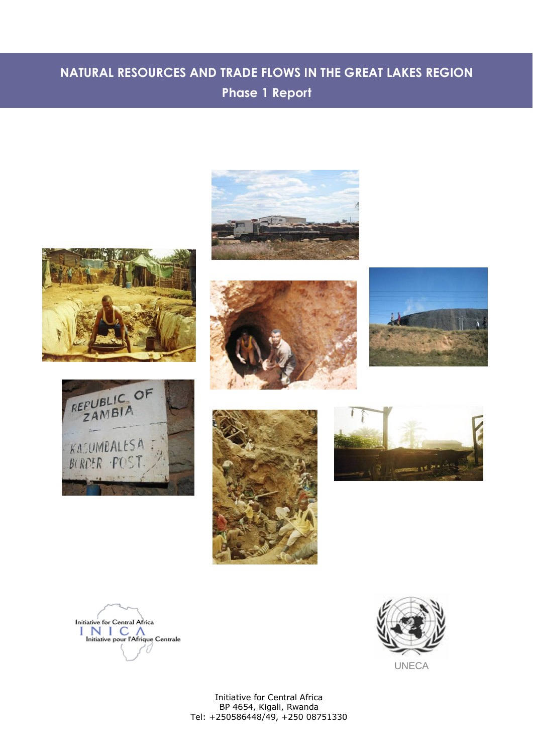# **NATURAL RESOURCES AND TRADE FLOWS IN THE GREAT LAKES REGION Phase 1 Report**















Initiative for Central Africa INICA<br>Initiative pour l'Afrique Centrale



Initiative for Central Africa BP 4654, Kigali, Rwanda Tel: +250586448/49, +250 08751330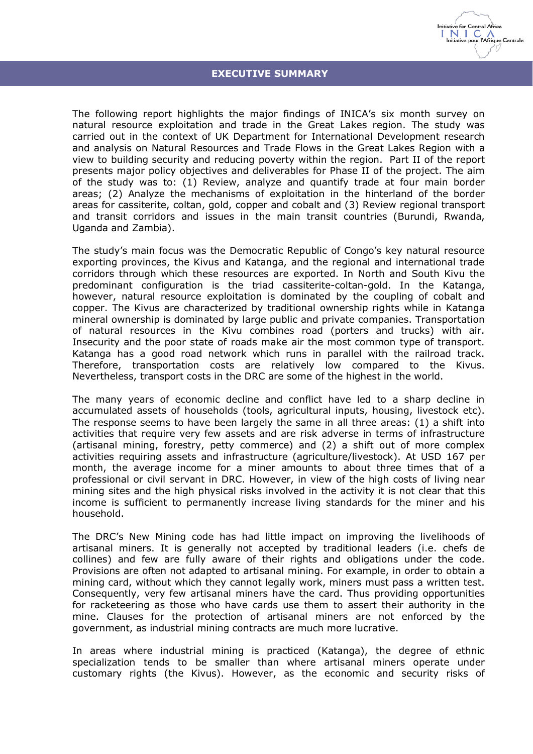

## **EXECUTIVE SUMMARY**

The following report highlights the major findings of INICA's six month survey on natural resource exploitation and trade in the Great Lakes region. The study was carried out in the context of UK Department for International Development research and analysis on Natural Resources and Trade Flows in the Great Lakes Region with a view to building security and reducing poverty within the region. Part II of the report presents major policy objectives and deliverables for Phase II of the project. The aim of the study was to: (1) Review, analyze and quantify trade at four main border areas; (2) Analyze the mechanisms of exploitation in the hinterland of the border areas for cassiterite, coltan, gold, copper and cobalt and (3) Review regional transport and transit corridors and issues in the main transit countries (Burundi, Rwanda, Uganda and Zambia).

The study's main focus was the Democratic Republic of Congo's key natural resource exporting provinces, the Kivus and Katanga, and the regional and international trade corridors through which these resources are exported. In North and South Kivu the predominant configuration is the triad cassiterite-coltan-gold. In the Katanga, however, natural resource exploitation is dominated by the coupling of cobalt and copper. The Kivus are characterized by traditional ownership rights while in Katanga mineral ownership is dominated by large public and private companies. Transportation of natural resources in the Kivu combines road (porters and trucks) with air. Insecurity and the poor state of roads make air the most common type of transport. Katanga has a good road network which runs in parallel with the railroad track. Therefore, transportation costs are relatively low compared to the Kivus. Nevertheless, transport costs in the DRC are some of the highest in the world.

The many years of economic decline and conflict have led to a sharp decline in accumulated assets of households (tools, agricultural inputs, housing, livestock etc). The response seems to have been largely the same in all three areas: (1) a shift into activities that require very few assets and are risk adverse in terms of infrastructure (artisanal mining, forestry, petty commerce) and (2) a shift out of more complex activities requiring assets and infrastructure (agriculture/livestock). At USD 167 per month, the average income for a miner amounts to about three times that of a professional or civil servant in DRC. However, in view of the high costs of living near mining sites and the high physical risks involved in the activity it is not clear that this income is sufficient to permanently increase living standards for the miner and his household.

The DRC's New Mining code has had little impact on improving the livelihoods of artisanal miners. It is generally not accepted by traditional leaders (i.e. chefs de collines) and few are fully aware of their rights and obligations under the code. Provisions are often not adapted to artisanal mining. For example, in order to obtain a mining card, without which they cannot legally work, miners must pass a written test. Consequently, very few artisanal miners have the card. Thus providing opportunities for racketeering as those who have cards use them to assert their authority in the mine. Clauses for the protection of artisanal miners are not enforced by the government, as industrial mining contracts are much more lucrative.

In areas where industrial mining is practiced (Katanga), the degree of ethnic specialization tends to be smaller than where artisanal miners operate under customary rights (the Kivus). However, as the economic and security risks of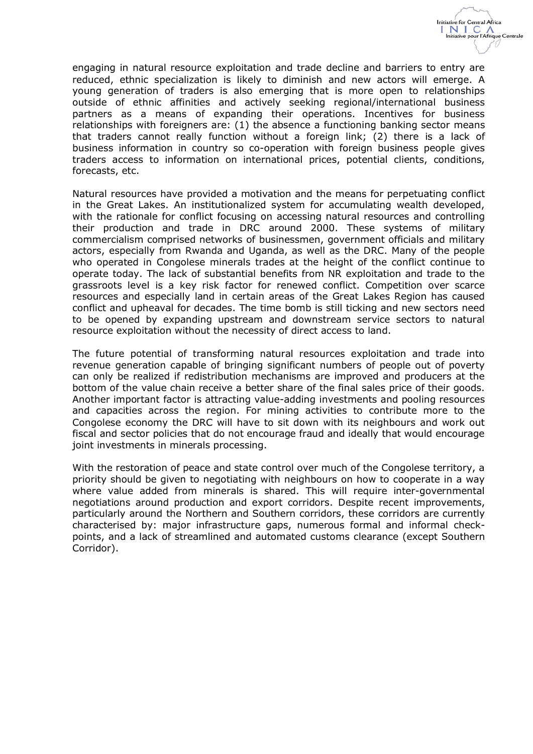**Initiative for Central Africa** NICA<br>Initiative pour l'Afrique Centrale

engaging in natural resource exploitation and trade decline and barriers to entry are reduced, ethnic specialization is likely to diminish and new actors will emerge. A young generation of traders is also emerging that is more open to relationships outside of ethnic affinities and actively seeking regional/international business partners as a means of expanding their operations. Incentives for business relationships with foreigners are: (1) the absence a functioning banking sector means that traders cannot really function without a foreign link; (2) there is a lack of business information in country so co-operation with foreign business people gives traders access to information on international prices, potential clients, conditions, forecasts, etc.

Natural resources have provided a motivation and the means for perpetuating conflict in the Great Lakes. An institutionalized system for accumulating wealth developed, with the rationale for conflict focusing on accessing natural resources and controlling their production and trade in DRC around 2000. These systems of military commercialism comprised networks of businessmen, government officials and military actors, especially from Rwanda and Uganda, as well as the DRC. Many of the people who operated in Congolese minerals trades at the height of the conflict continue to operate today. The lack of substantial benefits from NR exploitation and trade to the grassroots level is a key risk factor for renewed conflict. Competition over scarce resources and especially land in certain areas of the Great Lakes Region has caused conflict and upheaval for decades. The time bomb is still ticking and new sectors need to be opened by expanding upstream and downstream service sectors to natural resource exploitation without the necessity of direct access to land.

The future potential of transforming natural resources exploitation and trade into revenue generation capable of bringing significant numbers of people out of poverty can only be realized if redistribution mechanisms are improved and producers at the bottom of the value chain receive a better share of the final sales price of their goods. Another important factor is attracting value-adding investments and pooling resources and capacities across the region. For mining activities to contribute more to the Congolese economy the DRC will have to sit down with its neighbours and work out fiscal and sector policies that do not encourage fraud and ideally that would encourage joint investments in minerals processing.

With the restoration of peace and state control over much of the Congolese territory, a priority should be given to negotiating with neighbours on how to cooperate in a way where value added from minerals is shared. This will require inter-governmental negotiations around production and export corridors. Despite recent improvements, particularly around the Northern and Southern corridors, these corridors are currently characterised by: major infrastructure gaps, numerous formal and informal checkpoints, and a lack of streamlined and automated customs clearance (except Southern Corridor).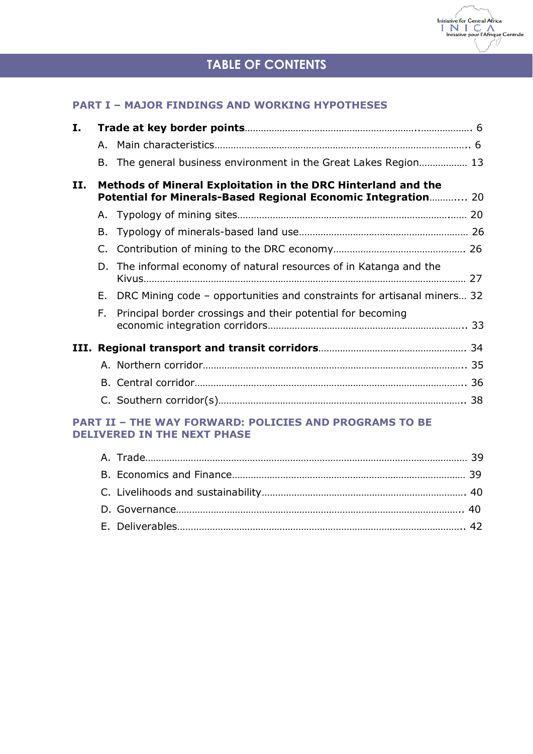

# **TABLE OF CONTENTS**

# **PART I - MAJOR FINDINGS AND WORKING HYPOTHESES**

**TABLE OF CONTENTS**

| Ι. |    |                                                                                                                                |
|----|----|--------------------------------------------------------------------------------------------------------------------------------|
|    |    |                                                                                                                                |
|    |    | B. The general business environment in the Great Lakes Region 13                                                               |
| П. |    | Methods of Mineral Exploitation in the DRC Hinterland and the<br>Potential for Minerals-Based Regional Economic Integration 20 |
|    |    |                                                                                                                                |
|    |    |                                                                                                                                |
|    | C. |                                                                                                                                |
|    |    | D. The informal economy of natural resources of in Katanga and the                                                             |
|    | Е. | DRC Mining code - opportunities and constraints for artisanal miners 32                                                        |
|    | F. | Principal border crossings and their potential for becoming                                                                    |
|    |    |                                                                                                                                |
|    |    |                                                                                                                                |
|    |    |                                                                                                                                |
|    |    |                                                                                                                                |
|    |    | BART IT. THE WAY FORWARD, BOLIGIES AND BROSBANS TO BE                                                                          |

#### **PART II – THE WAY FORWARD: POLICIES AND PROGRAMS TO BE DELIVERED IN THE NEXT PHASE**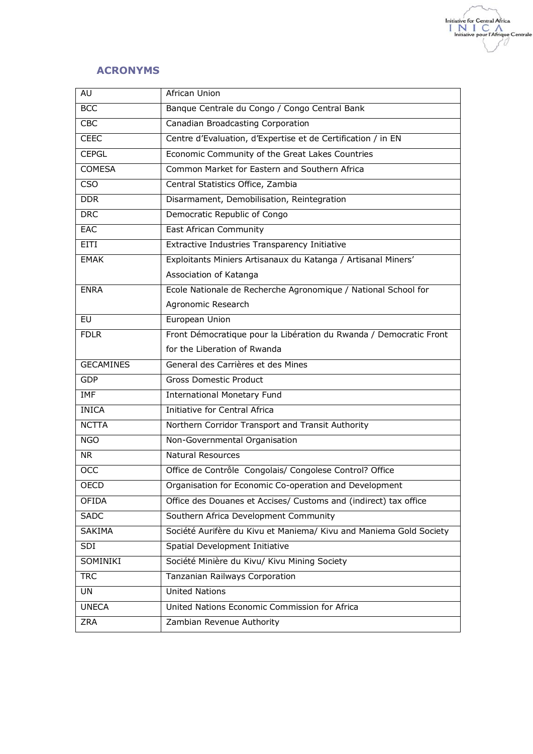$\begin{array}{l} \mbox{Initative for Central Africa} \\ \mid \hspace{0.1cm} \mid \hspace{0.1cm} \mid \hspace{0.1cm} \bigcirc \hspace{0.1cm} \wedge \\ \mbox{Initative pour l'Affique Centre} \end{array}$ Đ

## **ACRONYMS**

| AU               | <b>African Union</b>                                               |
|------------------|--------------------------------------------------------------------|
| <b>BCC</b>       | Banque Centrale du Congo / Congo Central Bank                      |
| <b>CBC</b>       | Canadian Broadcasting Corporation                                  |
| <b>CEEC</b>      | Centre d'Evaluation, d'Expertise et de Certification / in EN       |
| <b>CEPGL</b>     | Economic Community of the Great Lakes Countries                    |
| <b>COMESA</b>    | Common Market for Eastern and Southern Africa                      |
| <b>CSO</b>       | Central Statistics Office, Zambia                                  |
| <b>DDR</b>       | Disarmament, Demobilisation, Reintegration                         |
| <b>DRC</b>       | Democratic Republic of Congo                                       |
| <b>EAC</b>       | <b>East African Community</b>                                      |
| <b>EITI</b>      | Extractive Industries Transparency Initiative                      |
| <b>EMAK</b>      | Exploitants Miniers Artisanaux du Katanga / Artisanal Miners'      |
|                  | Association of Katanga                                             |
| <b>ENRA</b>      | Ecole Nationale de Recherche Agronomique / National School for     |
|                  | Agronomic Research                                                 |
| <b>EU</b>        | European Union                                                     |
| <b>FDLR</b>      | Front Démocratique pour la Libération du Rwanda / Democratic Front |
|                  | for the Liberation of Rwanda                                       |
| <b>GECAMINES</b> | General des Carrières et des Mines                                 |
| <b>GDP</b>       | <b>Gross Domestic Product</b>                                      |
| <b>IMF</b>       | <b>International Monetary Fund</b>                                 |
| <b>INICA</b>     | Initiative for Central Africa                                      |
| <b>NCTTA</b>     | Northern Corridor Transport and Transit Authority                  |
| <b>NGO</b>       | Non-Governmental Organisation                                      |
| <b>NR</b>        | <b>Natural Resources</b>                                           |
| <b>OCC</b>       | Office de Contrôle Congolais/ Congolese Control? Office            |
| OECD             | Organisation for Economic Co-operation and Development             |
| OFIDA            | Office des Douanes et Accises/ Customs and (indirect) tax office   |
| <b>SADC</b>      | Southern Africa Development Community                              |
| SAKIMA           | Société Aurifère du Kivu et Maniema/ Kivu and Maniema Gold Society |
| SDI              | Spatial Development Initiative                                     |
| SOMINIKI         | Société Minière du Kivu/ Kivu Mining Society                       |
| <b>TRC</b>       | Tanzanian Railways Corporation                                     |
| UN               | <b>United Nations</b>                                              |
|                  |                                                                    |
| <b>UNECA</b>     | United Nations Economic Commission for Africa                      |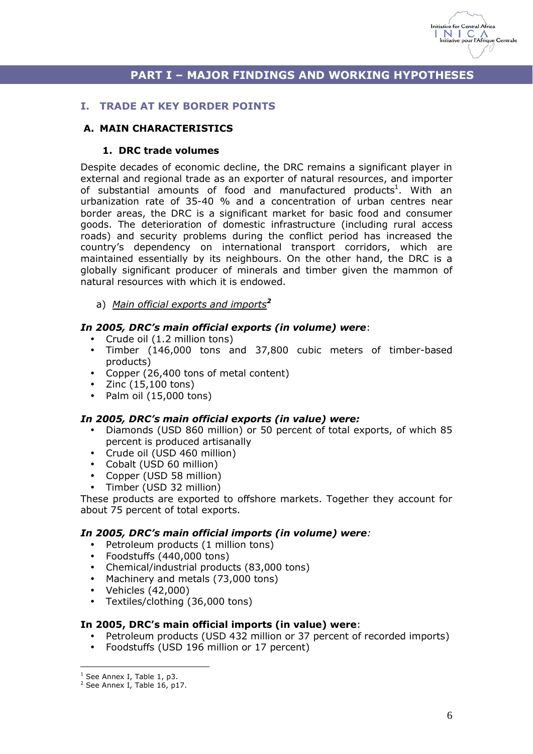

# **PART I ± MAJOR FINDINGS AND WORKING HYPOTHESES**

## **I. TRADE AT KEY BORDER POINTS**

## **A. MAIN CHARACTERISTICS**

## **1. DRC trade volumes**

Despite decades of economic decline, the DRC remains a significant player in external and regional trade as an exporter of natural resources, and importer of substantial amounts of food and manufactured products<sup>1</sup>. With an urbanization rate of 35-40 % and a concentration of urban centres near border areas, the DRC is a significant market for basic food and consumer goods. The deterioration of domestic infrastructure (including rural access roads) and security problems during the conflict period has increased the country's dependency on international transport corridors, which are maintained essentially by its neighbours. On the other hand, the DRC is a globally significant producer of minerals and timber given the mammon of natural resources with which it is endowed.

## a) *Main official exports and imports<sup>2</sup>*

#### *In 2005, DRC¶s main official exports (in volume) were*:

- Crude oil (1.2 million tons)
- Timber (146,000 tons and 37,800 cubic meters of timber-based products)
- Copper (26,400 tons of metal content)
- Zinc (15,100 tons)
- Palm oil (15,000 tons)

#### *In 2005, DRC¶s main official exports (in value) were:*

- Diamonds (USD 860 million) or 50 percent of total exports, of which 85 percent is produced artisanally
- Crude oil (USD 460 million)
- Cobalt (USD 60 million)
- Copper (USD 58 million)
- Timber (USD 32 million)

These products are exported to offshore markets. Together they account for about 75 percent of total exports.

## *In 2005, DRC¶s main official imports (in volume) were:*

- Petroleum products (1 million tons)
- Foodstuffs (440,000 tons)
- Chemical/industrial products (83,000 tons)
- Machinery and metals (73,000 tons)
- Vehicles (42,000)
- Textiles/clothing (36,000 tons)

#### **In 2005, DRC¶s main official imports (in value) were**:

- Petroleum products (USD 432 million or 37 percent of recorded imports)
- Foodstuffs (USD 196 million or 17 percent)

 $<sup>1</sup>$  See Annex I, Table 1, p3.</sup>

 $2$  See Annex I, Table 16, p17.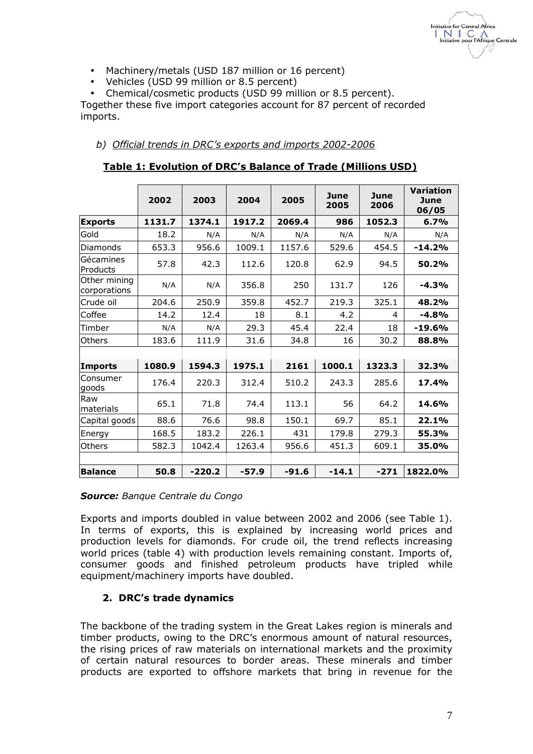Initiative for Central Africa INIC **NICA**<br>Initiative pour l'Afrique Centrale

- Machinery/metals (USD 187 million or 16 percent)
- Vehicles (USD 99 million or 8.5 percent)
- Chemical/cosmetic products (USD 99 million or 8.5 percent).

Together these five import categories account for 87 percent of recorded imports.

## *b) Official trends in DRC¶s exports and imports 2002-2006*

|                              | 2002   | 2003     | 2004    | 2005    | June<br>2005 | June<br>2006   | <b>Variation</b><br>June<br>06/05 |  |
|------------------------------|--------|----------|---------|---------|--------------|----------------|-----------------------------------|--|
| <b>Exports</b>               | 1131.7 | 1374.1   | 1917.2  | 2069.4  | 986          | 1052.3         | 6.7%                              |  |
| Gold                         | 18.2   | N/A      | N/A     | N/A     | N/A          | N/A            | N/A                               |  |
| Diamonds                     | 653.3  | 956.6    | 1009.1  | 1157.6  | 529.6        | 454.5          | $-14.2%$                          |  |
| Gécamines<br>Products        | 57.8   | 42.3     | 112.6   | 120.8   | 62.9         | 94.5           | 50.2%                             |  |
| Other mining<br>corporations | N/A    | N/A      | 356.8   | 250     | 131.7        | 126            | $-4.3%$                           |  |
| lCrude oil                   | 204.6  | 250.9    | 359.8   | 452.7   | 219.3        | 325.1          | 48.2%                             |  |
| Coffee                       | 14.2   | 12.4     | 18      | 8.1     | 4.2          | $\overline{4}$ | $-4.8%$                           |  |
| Timber                       | N/A    | N/A      | 29.3    | 45.4    | 22.4         | 18             | $-19.6%$                          |  |
| <b>lOthers</b>               | 183.6  | 111.9    | 31.6    | 34.8    | 16           | 30.2           | 88.8%                             |  |
|                              |        |          |         |         |              |                |                                   |  |
| Imports                      | 1080.9 | 1594.3   | 1975.1  | 2161    | 1000.1       | 1323.3         | 32.3%                             |  |
| Consumer<br>goods            | 176.4  | 220.3    | 312.4   | 510.2   | 243.3        | 285.6          | 17.4%                             |  |
| Raw<br>materials             | 65.1   | 71.8     | 74.4    | 113.1   | 56           | 64.2           | 14.6%                             |  |
| Capital goods                | 88.6   | 76.6     | 98.8    | 150.1   | 69.7         | 85.1           | 22.1%                             |  |
| Energy                       | 168.5  | 183.2    | 226.1   | 431     | 179.8        | 279.3          | 55.3%                             |  |
| <b>Others</b>                | 582.3  | 1042.4   | 1263.4  | 956.6   | 451.3        | 609.1          | 35.0%                             |  |
|                              |        |          |         |         |              |                |                                   |  |
| <b>Balance</b>               | 50.8   | $-220.2$ | $-57.9$ | $-91.6$ | $-14.1$      | $-271$         | 1822.0%                           |  |

 **Table 1: Evolution of DRC¶s Balance of Trade (Millions USD)**

#### *Source: Banque Centrale du Congo*

Exports and imports doubled in value between 2002 and 2006 (see Table 1). In terms of exports, this is explained by increasing world prices and production levels for diamonds. For crude oil, the trend reflects increasing world prices (table 4) with production levels remaining constant. Imports of, consumer goods and finished petroleum products have tripled while equipment/machinery imports have doubled.

## **2. DRC¶s trade dynamics**

The backbone of the trading system in the Great Lakes region is minerals and timber products, owing to the DRC's enormous amount of natural resources, the rising prices of raw materials on international markets and the proximity of certain natural resources to border areas. These minerals and timber products are exported to offshore markets that bring in revenue for the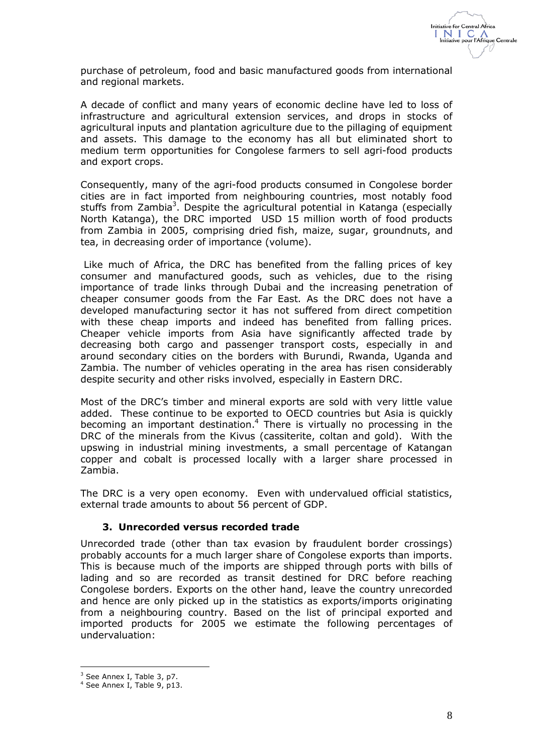

purchase of petroleum, food and basic manufactured goods from international and regional markets.

A decade of conflict and many years of economic decline have led to loss of infrastructure and agricultural extension services, and drops in stocks of agricultural inputs and plantation agriculture due to the pillaging of equipment and assets. This damage to the economy has all but eliminated short to medium term opportunities for Congolese farmers to sell agri-food products and export crops.

Consequently, many of the agri-food products consumed in Congolese border cities are in fact imported from neighbouring countries, most notably food stuffs from Zambia<sup>3</sup>. Despite the agricultural potential in Katanga (especially North Katanga), the DRC imported USD 15 million worth of food products from Zambia in 2005, comprising dried fish, maize, sugar, groundnuts, and tea, in decreasing order of importance (volume).

 Like much of Africa, the DRC has benefited from the falling prices of key consumer and manufactured goods, such as vehicles, due to the rising importance of trade links through Dubai and the increasing penetration of cheaper consumer goods from the Far East. As the DRC does not have a developed manufacturing sector it has not suffered from direct competition with these cheap imports and indeed has benefited from falling prices. Cheaper vehicle imports from Asia have significantly affected trade by decreasing both cargo and passenger transport costs, especially in and around secondary cities on the borders with Burundi, Rwanda, Uganda and Zambia. The number of vehicles operating in the area has risen considerably despite security and other risks involved, especially in Eastern DRC.

Most of the DRC's timber and mineral exports are sold with very little value added. These continue to be exported to OECD countries but Asia is quickly becoming an important destination.<sup>4</sup> There is virtually no processing in the DRC of the minerals from the Kivus (cassiterite, coltan and gold). With the upswing in industrial mining investments, a small percentage of Katangan copper and cobalt is processed locally with a larger share processed in Zambia.

The DRC is a very open economy. Even with undervalued official statistics, external trade amounts to about 56 percent of GDP.

## **3. Unrecorded versus recorded trade**

Unrecorded trade (other than tax evasion by fraudulent border crossings) probably accounts for a much larger share of Congolese exports than imports. This is because much of the imports are shipped through ports with bills of lading and so are recorded as transit destined for DRC before reaching Congolese borders. Exports on the other hand, leave the country unrecorded and hence are only picked up in the statistics as exports/imports originating from a neighbouring country. Based on the list of principal exported and imported products for 2005 we estimate the following percentages of undervaluation:

<sup>&</sup>lt;sup>3</sup> See Annex I, Table 3, p7.

<sup>4</sup> See Annex I, Table 9, p13.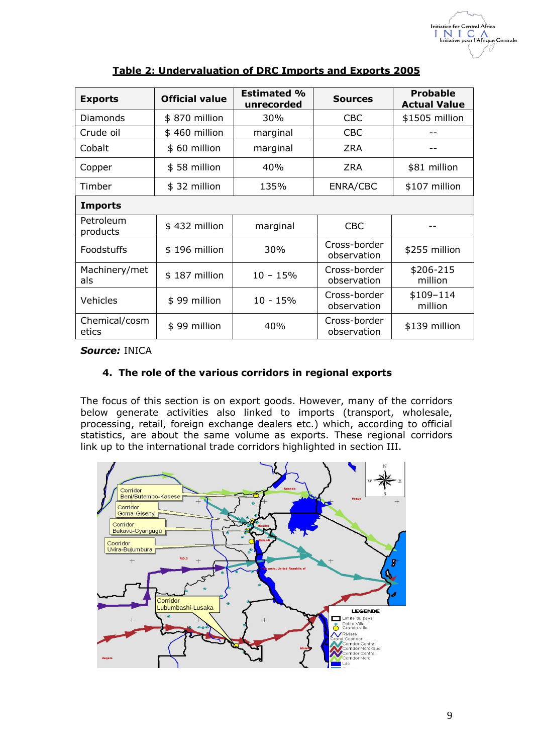Initiative for Central Africa INICA<br>Initiative pour l'Afrique Centrale

| <b>Exports</b>         | <b>Official value</b> | <b>Estimated %</b><br>unrecorded | <b>Sources</b>              | <b>Probable</b><br><b>Actual Value</b> |
|------------------------|-----------------------|----------------------------------|-----------------------------|----------------------------------------|
| Diamonds               | \$870 million         | 30%                              | <b>CBC</b>                  | \$1505 million                         |
| Crude oil              | \$460 million         | marginal                         | <b>CBC</b>                  |                                        |
| Cobalt                 | \$60 million          | marginal                         | <b>ZRA</b>                  |                                        |
| Copper                 | \$58 million          | 40%                              | <b>ZRA</b>                  | \$81 million                           |
| Timber                 | \$32 million          | 135%                             | ENRA/CBC                    | \$107 million                          |
| <b>Imports</b>         |                       |                                  |                             |                                        |
| Petroleum<br>products  | $$432$ million        | marginal                         | <b>CBC</b>                  |                                        |
| Foodstuffs             | $$196$ million        | 30%                              | Cross-border<br>observation | \$255 million                          |
| Machinery/met<br>als   | \$187 million         | $10 - 15%$                       | Cross-border<br>observation | \$206-215<br>million                   |
| Vehicles               | \$99 million          | $10 - 15%$                       | Cross-border<br>observation | $$109-114$<br>million                  |
| Chemical/cosm<br>etics | \$99 million          | 40%                              | Cross-border<br>observation | \$139 million                          |

#### **Table 2: Undervaluation of DRC Imports and Exports 2005**

*Source:* INICA

## **4. The role of the various corridors in regional exports**

The focus of this section is on export goods. However, many of the corridors below generate activities also linked to imports (transport, wholesale, processing, retail, foreign exchange dealers etc.) which, according to official statistics, are about the same volume as exports. These regional corridors link up to the international trade corridors highlighted in section III.

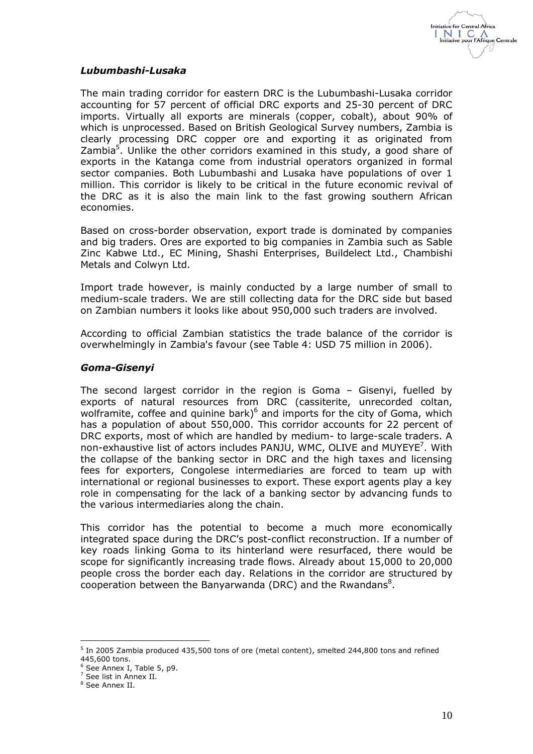

#### *Lubumbashi-Lusaka*

The main trading corridor for eastern DRC is the Lubumbashi-Lusaka corridor accounting for 57 percent of official DRC exports and 25-30 percent of DRC imports. Virtually all exports are minerals (copper, cobalt), about 90% of which is unprocessed. Based on British Geological Survey numbers, Zambia is clearly processing DRC copper ore and exporting it as originated from Zambia<sup>5</sup>. Unlike the other corridors examined in this study, a good share of exports in the Katanga come from industrial operators organized in formal sector companies. Both Lubumbashi and Lusaka have populations of over 1 million. This corridor is likely to be critical in the future economic revival of the DRC as it is also the main link to the fast growing southern African economies.

Based on cross-border observation, export trade is dominated by companies and big traders. Ores are exported to big companies in Zambia such as Sable Zinc Kabwe Ltd., EC Mining, Shashi Enterprises, Buildelect Ltd., Chambishi Metals and Colwyn Ltd.

Import trade however, is mainly conducted by a large number of small to medium-scale traders. We are still collecting data for the DRC side but based on Zambian numbers it looks like about 950,000 such traders are involved.

According to official Zambian statistics the trade balance of the corridor is overwhelmingly in Zambia's favour (see Table 4: USD 75 million in 2006).

#### *Goma-Gisenyi*

The second largest corridor in the region is Goma  $-$  Gisenyi, fuelled by exports of natural resources from DRC (cassiterite, unrecorded coltan, wolframite, coffee and quinine bark) $<sup>6</sup>$  and imports for the city of Goma, which</sup> has a population of about 550,000. This corridor accounts for 22 percent of DRC exports, most of which are handled by medium- to large-scale traders. A non-exhaustive list of actors includes PANJU, WMC, OLIVE and MUYEYE<sup>7</sup>. With the collapse of the banking sector in DRC and the high taxes and licensing fees for exporters, Congolese intermediaries are forced to team up with international or regional businesses to export. These export agents play a key role in compensating for the lack of a banking sector by advancing funds to the various intermediaries along the chain.

This corridor has the potential to become a much more economically integrated space during the DRC's post-conflict reconstruction. If a number of key roads linking Goma to its hinterland were resurfaced, there would be scope for significantly increasing trade flows. Already about 15,000 to 20,000 people cross the border each day. Relations in the corridor are structured by cooperation between the Banyarwanda (DRC) and the Rwandans $8$ .

<sup>&</sup>lt;sup>5</sup> In 2005 Zambia produced 435,500 tons of ore (metal content), smelted 244,800 tons and refined 445,600 tons.

<sup>&</sup>lt;sup>6</sup> See Annex I, Table 5, p9.

<sup>&</sup>lt;sup>7</sup> See list in Annex II.

<sup>8</sup> See Annex II.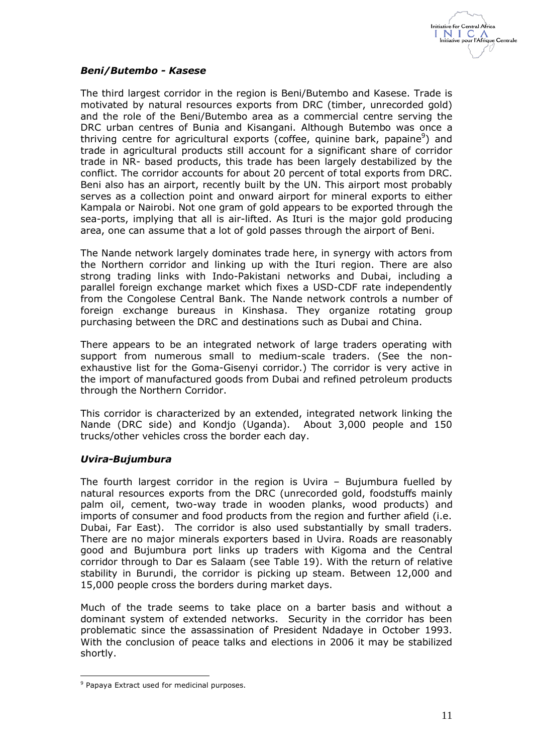

#### *Beni/Butembo - Kasese*

The third largest corridor in the region is Beni/Butembo and Kasese. Trade is motivated by natural resources exports from DRC (timber, unrecorded gold) and the role of the Beni/Butembo area as a commercial centre serving the DRC urban centres of Bunia and Kisangani. Although Butembo was once a thriving centre for agricultural exports (coffee, quinine bark, papaine<sup>9</sup>) and trade in agricultural products still account for a significant share of corridor trade in NR- based products, this trade has been largely destabilized by the conflict. The corridor accounts for about 20 percent of total exports from DRC. Beni also has an airport, recently built by the UN. This airport most probably serves as a collection point and onward airport for mineral exports to either Kampala or Nairobi. Not one gram of gold appears to be exported through the sea-ports, implying that all is air-lifted. As Ituri is the major gold producing area, one can assume that a lot of gold passes through the airport of Beni.

The Nande network largely dominates trade here, in synergy with actors from the Northern corridor and linking up with the Ituri region. There are also strong trading links with Indo-Pakistani networks and Dubai, including a parallel foreign exchange market which fixes a USD-CDF rate independently from the Congolese Central Bank. The Nande network controls a number of foreign exchange bureaus in Kinshasa. They organize rotating group purchasing between the DRC and destinations such as Dubai and China.

There appears to be an integrated network of large traders operating with support from numerous small to medium-scale traders. (See the nonexhaustive list for the Goma-Gisenyi corridor.) The corridor is very active in the import of manufactured goods from Dubai and refined petroleum products through the Northern Corridor.

This corridor is characterized by an extended, integrated network linking the Nande (DRC side) and Kondjo (Uganda). About 3,000 people and 150 trucks/other vehicles cross the border each day.

## *Uvira-Bujumbura*

The fourth largest corridor in the region is Uvira  $-$  Bujumbura fuelled by natural resources exports from the DRC (unrecorded gold, foodstuffs mainly palm oil, cement, two-way trade in wooden planks, wood products) and imports of consumer and food products from the region and further afield (i.e. Dubai, Far East). The corridor is also used substantially by small traders. There are no major minerals exporters based in Uvira. Roads are reasonably good and Bujumbura port links up traders with Kigoma and the Central corridor through to Dar es Salaam (see Table 19). With the return of relative stability in Burundi, the corridor is picking up steam. Between 12,000 and 15,000 people cross the borders during market days.

Much of the trade seems to take place on a barter basis and without a dominant system of extended networks. Security in the corridor has been problematic since the assassination of President Ndadaye in October 1993. With the conclusion of peace talks and elections in 2006 it may be stabilized shortly.

<sup>&</sup>lt;sup>9</sup> Papaya Extract used for medicinal purposes.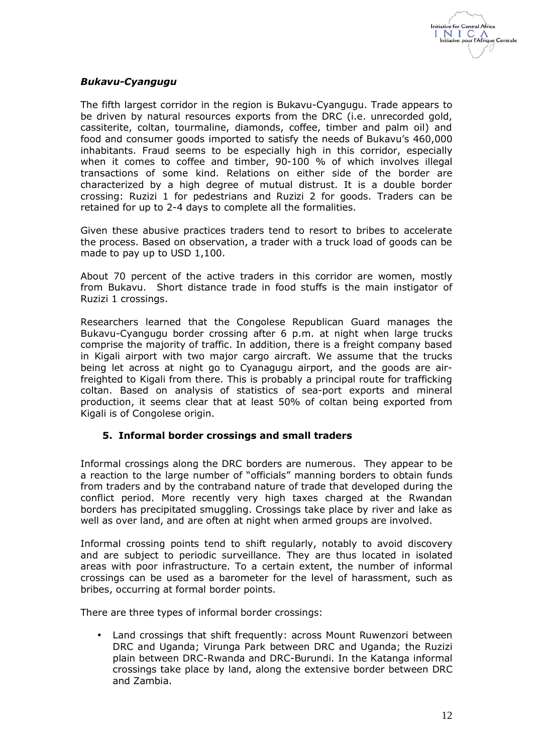

## *Bukavu-Cyangugu*

The fifth largest corridor in the region is Bukavu-Cyangugu. Trade appears to be driven by natural resources exports from the DRC (i.e. unrecorded gold, cassiterite, coltan, tourmaline, diamonds, coffee, timber and palm oil) and food and consumer goods imported to satisfy the needs of Bukavu's 460,000 inhabitants. Fraud seems to be especially high in this corridor, especially when it comes to coffee and timber, 90-100 % of which involves illegal transactions of some kind. Relations on either side of the border are characterized by a high degree of mutual distrust. It is a double border crossing: Ruzizi 1 for pedestrians and Ruzizi 2 for goods. Traders can be retained for up to 2-4 days to complete all the formalities.

Given these abusive practices traders tend to resort to bribes to accelerate the process. Based on observation, a trader with a truck load of goods can be made to pay up to USD 1,100.

About 70 percent of the active traders in this corridor are women, mostly from Bukavu. Short distance trade in food stuffs is the main instigator of Ruzizi 1 crossings.

Researchers learned that the Congolese Republican Guard manages the Bukavu-Cyangugu border crossing after 6 p.m. at night when large trucks comprise the majority of traffic. In addition, there is a freight company based in Kigali airport with two major cargo aircraft. We assume that the trucks being let across at night go to Cyanagugu airport, and the goods are airfreighted to Kigali from there. This is probably a principal route for trafficking coltan. Based on analysis of statistics of sea-port exports and mineral production, it seems clear that at least 50% of coltan being exported from Kigali is of Congolese origin.

## **5. Informal border crossings and small traders**

Informal crossings along the DRC borders are numerous. They appear to be a reaction to the large number of "officials" manning borders to obtain funds from traders and by the contraband nature of trade that developed during the conflict period. More recently very high taxes charged at the Rwandan borders has precipitated smuggling. Crossings take place by river and lake as well as over land, and are often at night when armed groups are involved.

Informal crossing points tend to shift regularly, notably to avoid discovery and are subject to periodic surveillance. They are thus located in isolated areas with poor infrastructure. To a certain extent, the number of informal crossings can be used as a barometer for the level of harassment, such as bribes, occurring at formal border points.

There are three types of informal border crossings:

• Land crossings that shift frequently: across Mount Ruwenzori between DRC and Uganda; Virunga Park between DRC and Uganda; the Ruzizi plain between DRC-Rwanda and DRC-Burundi. In the Katanga informal crossings take place by land, along the extensive border between DRC and Zambia.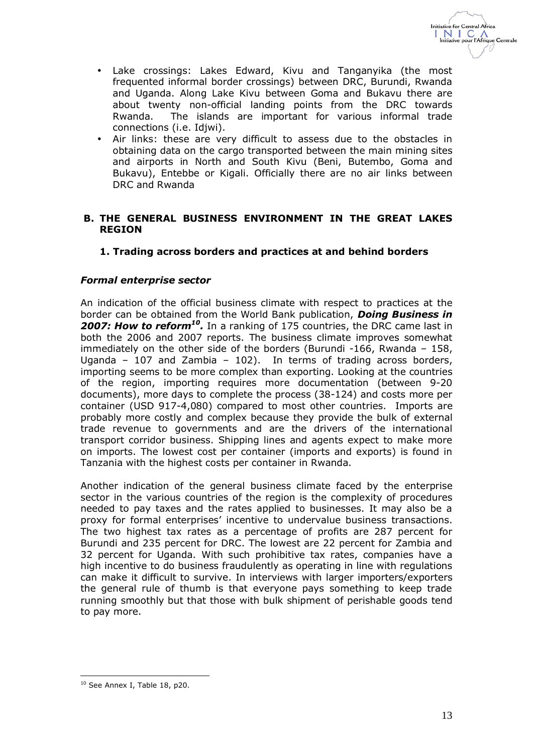Initiative for Central Africa INIC **NICA**<br>Initiative pour l'Afrique Centrale

- Lake crossings: Lakes Edward, Kivu and Tanganyika (the most frequented informal border crossings) between DRC, Burundi, Rwanda and Uganda. Along Lake Kivu between Goma and Bukavu there are about twenty non-official landing points from the DRC towards Rwanda. The islands are important for various informal trade connections (i.e. Idjwi).
- Air links: these are very difficult to assess due to the obstacles in obtaining data on the cargo transported between the main mining sites and airports in North and South Kivu (Beni, Butembo, Goma and Bukavu), Entebbe or Kigali. Officially there are no air links between DRC and Rwanda

## **B. THE GENERAL BUSINESS ENVIRONMENT IN THE GREAT LAKES REGION**

## **1. Trading across borders and practices at and behind borders**

## *Formal enterprise sector*

An indication of the official business climate with respect to practices at the border can be obtained from the World Bank publication, *Doing Business in 2007: How to reform<sup>10</sup> .* In a ranking of 175 countries, the DRC came last in both the 2006 and 2007 reports. The business climate improves somewhat immediately on the other side of the borders (Burundi  $-166$ , Rwanda  $-158$ , Uganda  $-$  107 and Zambia  $-$  102). In terms of trading across borders, importing seems to be more complex than exporting. Looking at the countries of the region, importing requires more documentation (between 9-20 documents), more days to complete the process (38-124) and costs more per container (USD 917-4,080) compared to most other countries. Imports are probably more costly and complex because they provide the bulk of external trade revenue to governments and are the drivers of the international transport corridor business. Shipping lines and agents expect to make more on imports. The lowest cost per container (imports and exports) is found in Tanzania with the highest costs per container in Rwanda.

Another indication of the general business climate faced by the enterprise sector in the various countries of the region is the complexity of procedures needed to pay taxes and the rates applied to businesses. It may also be a proxy for formal enterprises' incentive to undervalue business transactions. The two highest tax rates as a percentage of profits are 287 percent for Burundi and 235 percent for DRC. The lowest are 22 percent for Zambia and 32 percent for Uganda. With such prohibitive tax rates, companies have a high incentive to do business fraudulently as operating in line with regulations can make it difficult to survive. In interviews with larger importers/exporters the general rule of thumb is that everyone pays something to keep trade running smoothly but that those with bulk shipment of perishable goods tend to pay more.

<sup>&</sup>lt;sup>10</sup> See Annex I, Table 18, p20.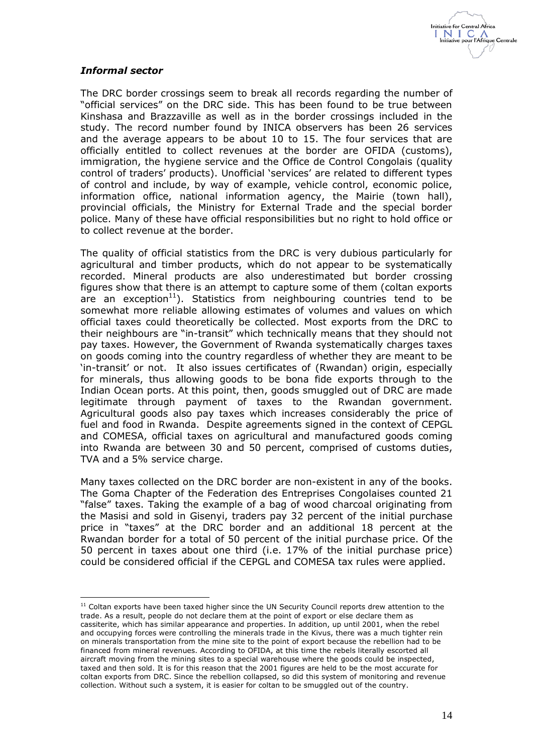

## *Informal sector*

The DRC border crossings seem to break all records regarding the number of ³official services´ on the DRC side. This has been found to be true between Kinshasa and Brazzaville as well as in the border crossings included in the study. The record number found by INICA observers has been 26 services and the average appears to be about 10 to 15. The four services that are officially entitled to collect revenues at the border are OFIDA (customs), immigration, the hygiene service and the Office de Control Congolais (quality control of traders' products). Unofficial 'services' are related to different types of control and include, by way of example, vehicle control, economic police, information office, national information agency, the Mairie (town hall), provincial officials, the Ministry for External Trade and the special border police. Many of these have official responsibilities but no right to hold office or to collect revenue at the border.

The quality of official statistics from the DRC is very dubious particularly for agricultural and timber products, which do not appear to be systematically recorded. Mineral products are also underestimated but border crossing figures show that there is an attempt to capture some of them (coltan exports are an exception<sup>11</sup>). Statistics from neighbouring countries tend to be somewhat more reliable allowing estimates of volumes and values on which official taxes could theoretically be collected. Most exports from the DRC to their neighbours are "in-transit" which technically means that they should not pay taxes. However, the Government of Rwanda systematically charges taxes on goods coming into the country regardless of whether they are meant to be lin-transit' or not. It also issues certificates of (Rwandan) origin, especially for minerals, thus allowing goods to be bona fide exports through to the Indian Ocean ports. At this point, then, goods smuggled out of DRC are made legitimate through payment of taxes to the Rwandan government. Agricultural goods also pay taxes which increases considerably the price of fuel and food in Rwanda. Despite agreements signed in the context of CEPGL and COMESA, official taxes on agricultural and manufactured goods coming into Rwanda are between 30 and 50 percent, comprised of customs duties, TVA and a 5% service charge.

Many taxes collected on the DRC border are non-existent in any of the books. The Goma Chapter of the Federation des Entreprises Congolaises counted 21 "false" taxes. Taking the example of a bag of wood charcoal originating from the Masisi and sold in Gisenyi, traders pay 32 percent of the initial purchase price in "taxes" at the DRC border and an additional 18 percent at the Rwandan border for a total of 50 percent of the initial purchase price. Of the 50 percent in taxes about one third (i.e. 17% of the initial purchase price) could be considered official if the CEPGL and COMESA tax rules were applied.

 $11$  Coltan exports have been taxed higher since the UN Security Council reports drew attention to the trade. As a result, people do not declare them at the point of export or else declare them as cassiterite, which has similar appearance and properties. In addition, up until 2001, when the rebel and occupying forces were controlling the minerals trade in the Kivus, there was a much tighter rein on minerals transportation from the mine site to the point of export because the rebellion had to be financed from mineral revenues. According to OFIDA, at this time the rebels literally escorted all aircraft moving from the mining sites to a special warehouse where the goods could be inspected, taxed and then sold. It is for this reason that the 2001 figures are held to be the most accurate for coltan exports from DRC. Since the rebellion collapsed, so did this system of monitoring and revenue collection. Without such a system, it is easier for coltan to be smuggled out of the country.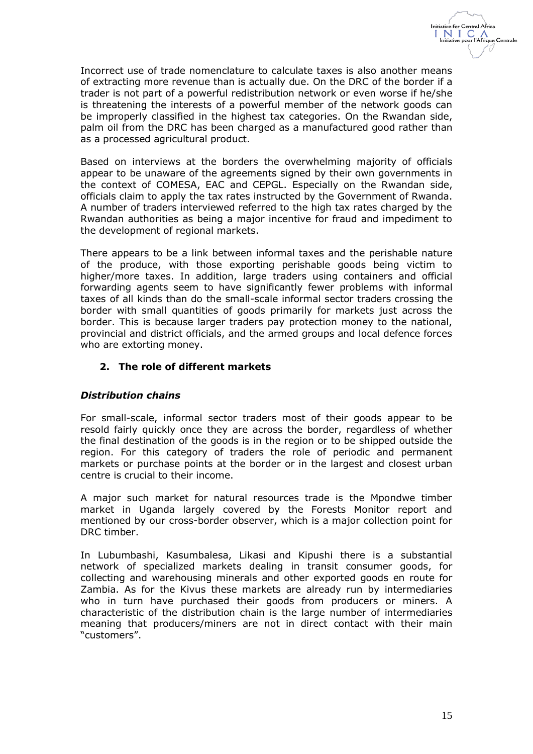Initiative for Central Africa INIC **NICA**<br>Initiative pour l'Afrique Centrale

Incorrect use of trade nomenclature to calculate taxes is also another means of extracting more revenue than is actually due. On the DRC of the border if a trader is not part of a powerful redistribution network or even worse if he/she is threatening the interests of a powerful member of the network goods can be improperly classified in the highest tax categories. On the Rwandan side, palm oil from the DRC has been charged as a manufactured good rather than as a processed agricultural product.

Based on interviews at the borders the overwhelming majority of officials appear to be unaware of the agreements signed by their own governments in the context of COMESA, EAC and CEPGL. Especially on the Rwandan side, officials claim to apply the tax rates instructed by the Government of Rwanda. A number of traders interviewed referred to the high tax rates charged by the Rwandan authorities as being a major incentive for fraud and impediment to the development of regional markets.

There appears to be a link between informal taxes and the perishable nature of the produce, with those exporting perishable goods being victim to higher/more taxes. In addition, large traders using containers and official forwarding agents seem to have significantly fewer problems with informal taxes of all kinds than do the small-scale informal sector traders crossing the border with small quantities of goods primarily for markets just across the border. This is because larger traders pay protection money to the national, provincial and district officials, and the armed groups and local defence forces who are extorting money.

## **2. The role of different markets**

## *Distribution chains*

For small-scale, informal sector traders most of their goods appear to be resold fairly quickly once they are across the border, regardless of whether the final destination of the goods is in the region or to be shipped outside the region. For this category of traders the role of periodic and permanent markets or purchase points at the border or in the largest and closest urban centre is crucial to their income.

A major such market for natural resources trade is the Mpondwe timber market in Uganda largely covered by the Forests Monitor report and mentioned by our cross-border observer, which is a major collection point for DRC timber.

In Lubumbashi, Kasumbalesa, Likasi and Kipushi there is a substantial network of specialized markets dealing in transit consumer goods, for collecting and warehousing minerals and other exported goods en route for Zambia. As for the Kivus these markets are already run by intermediaries who in turn have purchased their goods from producers or miners. A characteristic of the distribution chain is the large number of intermediaries meaning that producers/miners are not in direct contact with their main "customers".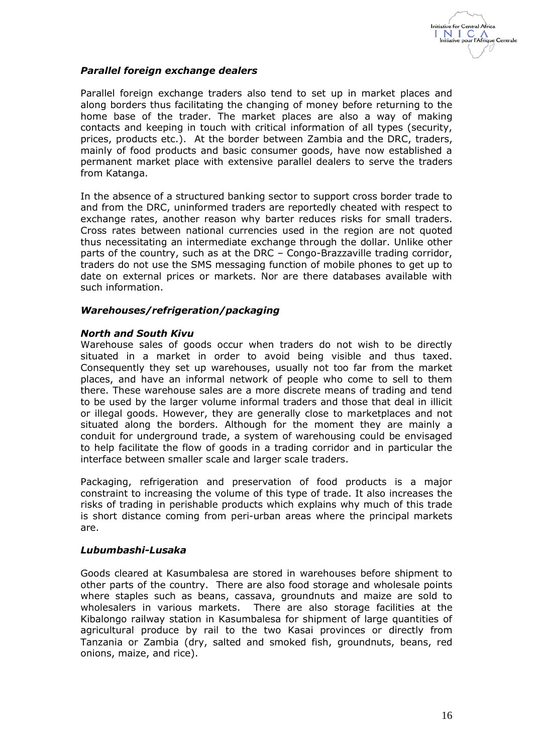

## *Parallel foreign exchange dealers*

Parallel foreign exchange traders also tend to set up in market places and along borders thus facilitating the changing of money before returning to the home base of the trader. The market places are also a way of making contacts and keeping in touch with critical information of all types (security, prices, products etc.). At the border between Zambia and the DRC, traders, mainly of food products and basic consumer goods, have now established a permanent market place with extensive parallel dealers to serve the traders from Katanga.

In the absence of a structured banking sector to support cross border trade to and from the DRC, uninformed traders are reportedly cheated with respect to exchange rates, another reason why barter reduces risks for small traders. Cross rates between national currencies used in the region are not quoted thus necessitating an intermediate exchange through the dollar. Unlike other parts of the country, such as at the DRC - Congo-Brazzaville trading corridor, traders do not use the SMS messaging function of mobile phones to get up to date on external prices or markets. Nor are there databases available with such information.

#### *Warehouses/refrigeration/packaging*

#### *North and South Kivu*

Warehouse sales of goods occur when traders do not wish to be directly situated in a market in order to avoid being visible and thus taxed. Consequently they set up warehouses, usually not too far from the market places, and have an informal network of people who come to sell to them there. These warehouse sales are a more discrete means of trading and tend to be used by the larger volume informal traders and those that deal in illicit or illegal goods. However, they are generally close to marketplaces and not situated along the borders. Although for the moment they are mainly a conduit for underground trade, a system of warehousing could be envisaged to help facilitate the flow of goods in a trading corridor and in particular the interface between smaller scale and larger scale traders.

Packaging, refrigeration and preservation of food products is a major constraint to increasing the volume of this type of trade. It also increases the risks of trading in perishable products which explains why much of this trade is short distance coming from peri-urban areas where the principal markets are.

#### *Lubumbashi-Lusaka*

Goods cleared at Kasumbalesa are stored in warehouses before shipment to other parts of the country. There are also food storage and wholesale points where staples such as beans, cassava, groundnuts and maize are sold to wholesalers in various markets. There are also storage facilities at the Kibalongo railway station in Kasumbalesa for shipment of large quantities of agricultural produce by rail to the two Kasai provinces or directly from Tanzania or Zambia (dry, salted and smoked fish, groundnuts, beans, red onions, maize, and rice).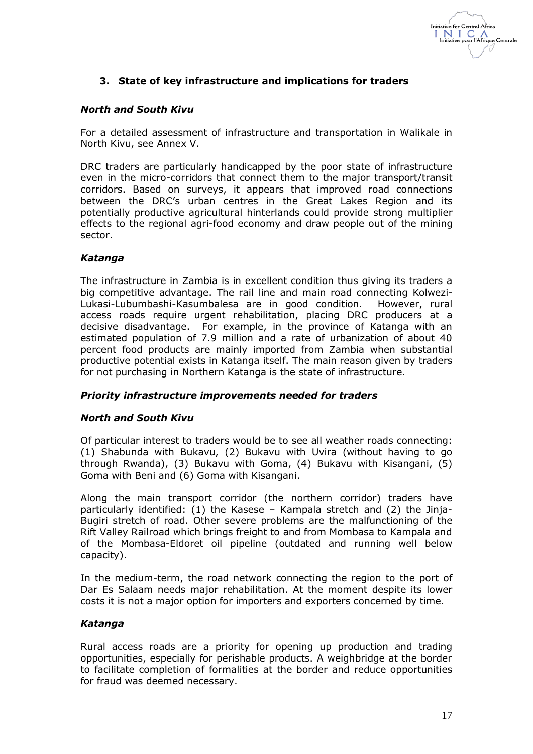Initiative for Central Africa INIC **NICA**<br>Initiative pour l'Afrique Centrale

## **3. State of key infrastructure and implications for traders**

## *North and South Kivu*

For a detailed assessment of infrastructure and transportation in Walikale in North Kivu, see Annex V.

DRC traders are particularly handicapped by the poor state of infrastructure even in the micro-corridors that connect them to the major transport/transit corridors. Based on surveys, it appears that improved road connections between the DRC's urban centres in the Great Lakes Region and its potentially productive agricultural hinterlands could provide strong multiplier effects to the regional agri-food economy and draw people out of the mining sector.

#### *Katanga*

The infrastructure in Zambia is in excellent condition thus giving its traders a big competitive advantage. The rail line and main road connecting Kolwezi-Lukasi-Lubumbashi-Kasumbalesa are in good condition. However, rural access roads require urgent rehabilitation, placing DRC producers at a decisive disadvantage. For example, in the province of Katanga with an estimated population of 7.9 million and a rate of urbanization of about 40 percent food products are mainly imported from Zambia when substantial productive potential exists in Katanga itself. The main reason given by traders for not purchasing in Northern Katanga is the state of infrastructure.

#### *Priority infrastructure improvements needed for traders*

#### *North and South Kivu*

Of particular interest to traders would be to see all weather roads connecting: (1) Shabunda with Bukavu, (2) Bukavu with Uvira (without having to go through Rwanda), (3) Bukavu with Goma, (4) Bukavu with Kisangani, (5) Goma with Beni and (6) Goma with Kisangani.

Along the main transport corridor (the northern corridor) traders have particularly identified:  $(1)$  the Kasese - Kampala stretch and  $(2)$  the Jinja-Bugiri stretch of road. Other severe problems are the malfunctioning of the Rift Valley Railroad which brings freight to and from Mombasa to Kampala and of the Mombasa-Eldoret oil pipeline (outdated and running well below capacity).

In the medium-term, the road network connecting the region to the port of Dar Es Salaam needs major rehabilitation. At the moment despite its lower costs it is not a major option for importers and exporters concerned by time.

## *Katanga*

Rural access roads are a priority for opening up production and trading opportunities, especially for perishable products. A weighbridge at the border to facilitate completion of formalities at the border and reduce opportunities for fraud was deemed necessary.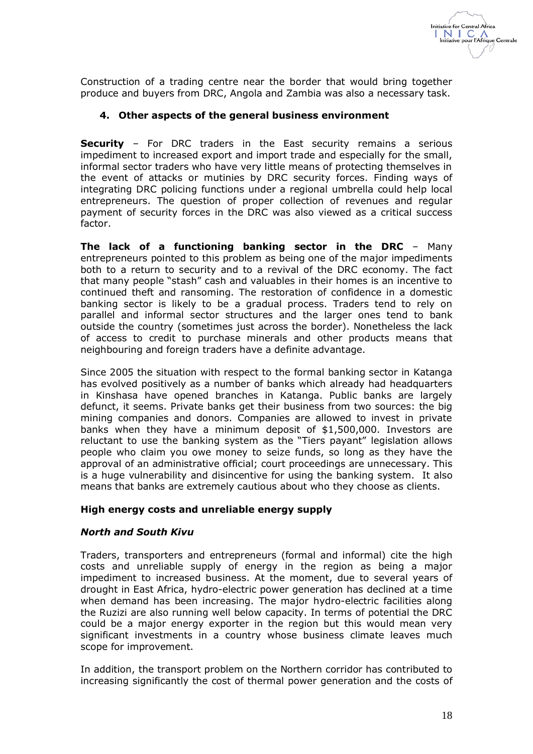Initiative for Central Africa INIC NICA<br>Initiative pour l'Afrique Centrale

Construction of a trading centre near the border that would bring together produce and buyers from DRC, Angola and Zambia was also a necessary task.

## **4. Other aspects of the general business environment**

**Security** - For DRC traders in the East security remains a serious impediment to increased export and import trade and especially for the small, informal sector traders who have very little means of protecting themselves in the event of attacks or mutinies by DRC security forces. Finding ways of integrating DRC policing functions under a regional umbrella could help local entrepreneurs. The question of proper collection of revenues and regular payment of security forces in the DRC was also viewed as a critical success factor.

**The lack of a functioning banking sector in the DRC** - Many entrepreneurs pointed to this problem as being one of the major impediments both to a return to security and to a revival of the DRC economy. The fact that many people "stash" cash and valuables in their homes is an incentive to continued theft and ransoming. The restoration of confidence in a domestic banking sector is likely to be a gradual process. Traders tend to rely on parallel and informal sector structures and the larger ones tend to bank outside the country (sometimes just across the border). Nonetheless the lack of access to credit to purchase minerals and other products means that neighbouring and foreign traders have a definite advantage.

Since 2005 the situation with respect to the formal banking sector in Katanga has evolved positively as a number of banks which already had headquarters in Kinshasa have opened branches in Katanga. Public banks are largely defunct, it seems. Private banks get their business from two sources: the big mining companies and donors. Companies are allowed to invest in private banks when they have a minimum deposit of \$1,500,000. Investors are reluctant to use the banking system as the "Tiers payant" legislation allows people who claim you owe money to seize funds, so long as they have the approval of an administrative official; court proceedings are unnecessary. This is a huge vulnerability and disincentive for using the banking system. It also means that banks are extremely cautious about who they choose as clients.

## **High energy costs and unreliable energy supply**

## *North and South Kivu*

Traders, transporters and entrepreneurs (formal and informal) cite the high costs and unreliable supply of energy in the region as being a major impediment to increased business. At the moment, due to several years of drought in East Africa, hydro-electric power generation has declined at a time when demand has been increasing. The major hydro-electric facilities along the Ruzizi are also running well below capacity. In terms of potential the DRC could be a major energy exporter in the region but this would mean very significant investments in a country whose business climate leaves much scope for improvement.

In addition, the transport problem on the Northern corridor has contributed to increasing significantly the cost of thermal power generation and the costs of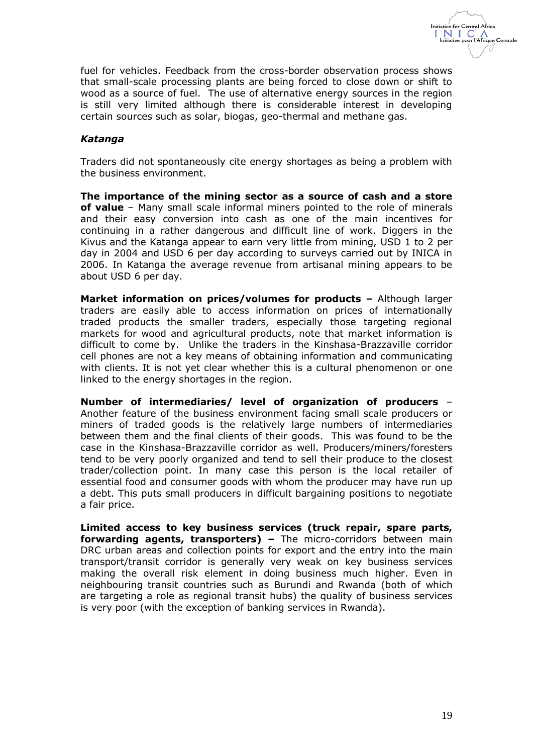Initiative for Central Africa INIC **NICA**<br>Initiative pour l'Afrique Centrale

fuel for vehicles. Feedback from the cross-border observation process shows that small-scale processing plants are being forced to close down or shift to wood as a source of fuel. The use of alternative energy sources in the region is still very limited although there is considerable interest in developing certain sources such as solar, biogas, geo-thermal and methane gas.

#### *Katanga*

Traders did not spontaneously cite energy shortages as being a problem with the business environment.

**The importance of the mining sector as a source of cash and a store of value** – Many small scale informal miners pointed to the role of minerals and their easy conversion into cash as one of the main incentives for continuing in a rather dangerous and difficult line of work. Diggers in the Kivus and the Katanga appear to earn very little from mining, USD 1 to 2 per day in 2004 and USD 6 per day according to surveys carried out by INICA in 2006. In Katanga the average revenue from artisanal mining appears to be about USD 6 per day.

**Market information on prices/volumes for products - Although larger** traders are easily able to access information on prices of internationally traded products the smaller traders, especially those targeting regional markets for wood and agricultural products, note that market information is difficult to come by. Unlike the traders in the Kinshasa-Brazzaville corridor cell phones are not a key means of obtaining information and communicating with clients. It is not yet clear whether this is a cultural phenomenon or one linked to the energy shortages in the region.

**Number of intermediaries/ level of organization of producers -**Another feature of the business environment facing small scale producers or miners of traded goods is the relatively large numbers of intermediaries between them and the final clients of their goods. This was found to be the case in the Kinshasa-Brazzaville corridor as well. Producers/miners/foresters tend to be very poorly organized and tend to sell their produce to the closest trader/collection point. In many case this person is the local retailer of essential food and consumer goods with whom the producer may have run up a debt. This puts small producers in difficult bargaining positions to negotiate a fair price.

**Limited access to key business services (truck repair, spare parts, forwarding agents, transporters) -** The micro-corridors between main DRC urban areas and collection points for export and the entry into the main transport/transit corridor is generally very weak on key business services making the overall risk element in doing business much higher. Even in neighbouring transit countries such as Burundi and Rwanda (both of which are targeting a role as regional transit hubs) the quality of business services is very poor (with the exception of banking services in Rwanda).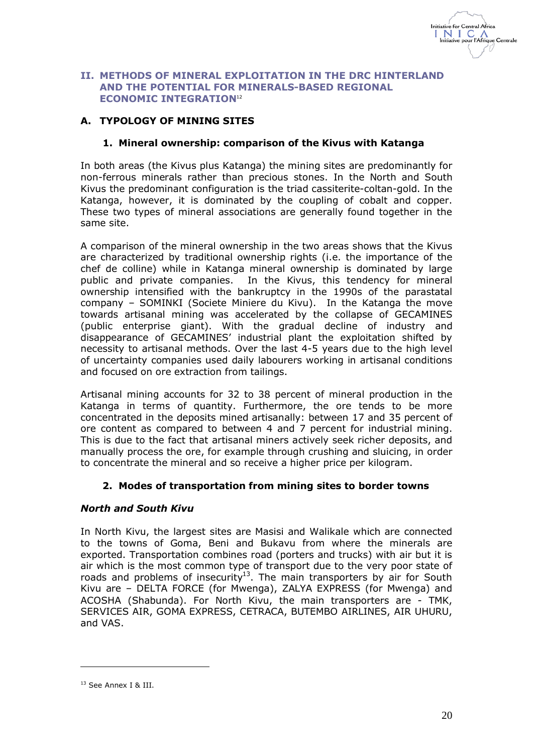

#### **II. METHODS OF MINERAL EXPLOITATION IN THE DRC HINTERLAND AND THE POTENTIAL FOR MINERALS-BASED REGIONAL ECONOMIC INTEGRATION**<sup>12</sup>

# **A. TYPOLOGY OF MINING SITES**

## **1. Mineral ownership: comparison of the Kivus with Katanga**

In both areas (the Kivus plus Katanga) the mining sites are predominantly for non-ferrous minerals rather than precious stones. In the North and South Kivus the predominant configuration is the triad cassiterite-coltan-gold. In the Katanga, however, it is dominated by the coupling of cobalt and copper. These two types of mineral associations are generally found together in the same site.

A comparison of the mineral ownership in the two areas shows that the Kivus are characterized by traditional ownership rights (i.e. the importance of the chef de colline) while in Katanga mineral ownership is dominated by large public and private companies. In the Kivus, this tendency for mineral ownership intensified with the bankruptcy in the 1990s of the parastatal company - SOMINKI (Societe Miniere du Kivu). In the Katanga the move towards artisanal mining was accelerated by the collapse of GECAMINES (public enterprise giant). With the gradual decline of industry and disappearance of GECAMINES' industrial plant the exploitation shifted by necessity to artisanal methods. Over the last 4-5 years due to the high level of uncertainty companies used daily labourers working in artisanal conditions and focused on ore extraction from tailings.

Artisanal mining accounts for 32 to 38 percent of mineral production in the Katanga in terms of quantity. Furthermore, the ore tends to be more concentrated in the deposits mined artisanally: between 17 and 35 percent of ore content as compared to between 4 and 7 percent for industrial mining. This is due to the fact that artisanal miners actively seek richer deposits, and manually process the ore, for example through crushing and sluicing, in order to concentrate the mineral and so receive a higher price per kilogram.

# **2. Modes of transportation from mining sites to border towns**

## *North and South Kivu*

In North Kivu, the largest sites are Masisi and Walikale which are connected to the towns of Goma, Beni and Bukavu from where the minerals are exported. Transportation combines road (porters and trucks) with air but it is air which is the most common type of transport due to the very poor state of roads and problems of insecurity<sup>13</sup>. The main transporters by air for South Kivu are - DELTA FORCE (for Mwenga), ZALYA EXPRESS (for Mwenga) and ACOSHA (Shabunda). For North Kivu, the main transporters are - TMK, SERVICES AIR, GOMA EXPRESS, CETRACA, BUTEMBO AIRLINES, AIR UHURU, and VAS.

<sup>13</sup> See Annex I & III.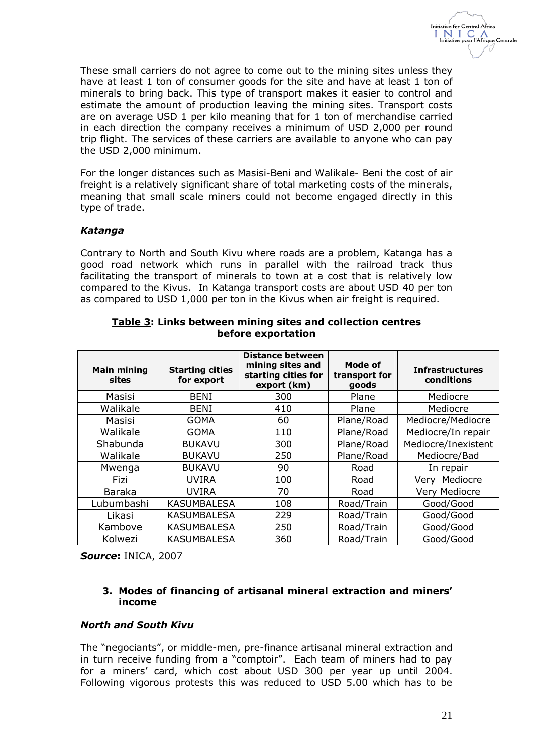Initiative for Central Africa INIC **NICA**<br>Initiative pour l'Afrique Centrale

These small carriers do not agree to come out to the mining sites unless they have at least 1 ton of consumer goods for the site and have at least 1 ton of minerals to bring back. This type of transport makes it easier to control and estimate the amount of production leaving the mining sites. Transport costs are on average USD 1 per kilo meaning that for 1 ton of merchandise carried in each direction the company receives a minimum of USD 2,000 per round trip flight. The services of these carriers are available to anyone who can pay the USD 2,000 minimum.

For the longer distances such as Masisi-Beni and Walikale- Beni the cost of air freight is a relatively significant share of total marketing costs of the minerals, meaning that small scale miners could not become engaged directly in this type of trade.

#### *Katanga*

Contrary to North and South Kivu where roads are a problem, Katanga has a good road network which runs in parallel with the railroad track thus facilitating the transport of minerals to town at a cost that is relatively low compared to the Kivus. In Katanga transport costs are about USD 40 per ton as compared to USD 1,000 per ton in the Kivus when air freight is required.

| <b>Main mining</b><br>sites | <b>Starting cities</b><br>for export | <b>Distance between</b><br>mining sites and<br>starting cities for<br>export (km) | Mode of<br>transport for<br>goods | <b>Infrastructures</b><br>conditions |
|-----------------------------|--------------------------------------|-----------------------------------------------------------------------------------|-----------------------------------|--------------------------------------|
| Masisi                      | <b>BENI</b>                          | 300                                                                               | Plane                             | Mediocre                             |
| Walikale                    | <b>BENI</b>                          | 410                                                                               | Plane                             | Mediocre                             |
| Masisi                      | <b>GOMA</b>                          | 60                                                                                | Plane/Road                        | Mediocre/Mediocre                    |
| Walikale                    | <b>GOMA</b>                          | 110                                                                               | Plane/Road                        | Mediocre/In repair                   |
| Shabunda                    | <b>BUKAVU</b>                        | 300                                                                               | Plane/Road                        | Mediocre/Inexistent                  |
| Walikale                    | <b>BUKAVU</b>                        | 250                                                                               | Plane/Road                        | Mediocre/Bad                         |
| Mwenga                      | <b>BUKAVU</b>                        | 90                                                                                | Road                              | In repair                            |
| Fizi                        | <b>UVIRA</b>                         | 100                                                                               | Road                              | Very Mediocre                        |
| <b>Baraka</b>               | <b>UVIRA</b>                         | 70                                                                                | Road                              | Very Mediocre                        |
| Lubumbashi                  | <b>KASUMBALESA</b>                   | 108                                                                               | Road/Train                        | Good/Good                            |
| Likasi                      | <b>KASUMBALESA</b>                   | 229                                                                               | Road/Train                        | Good/Good                            |
| Kambove                     | <b>KASUMBALESA</b>                   | 250                                                                               | Road/Train                        | Good/Good                            |
| Kolwezi                     | <b>KASUMBALESA</b>                   | 360                                                                               | Road/Train                        | Good/Good                            |

#### **Table 3: Links between mining sites and collection centres before exportation**

*Source***:** INICA, 2007

## **3. Modes of financing of artisanal mineral extraction and miners¶ income**

## *North and South Kivu*

The "negociants", or middle-men, pre-finance artisanal mineral extraction and in turn receive funding from a "comptoir". Each team of miners had to pay for a miners' card, which cost about USD 300 per year up until 2004. Following vigorous protests this was reduced to USD 5.00 which has to be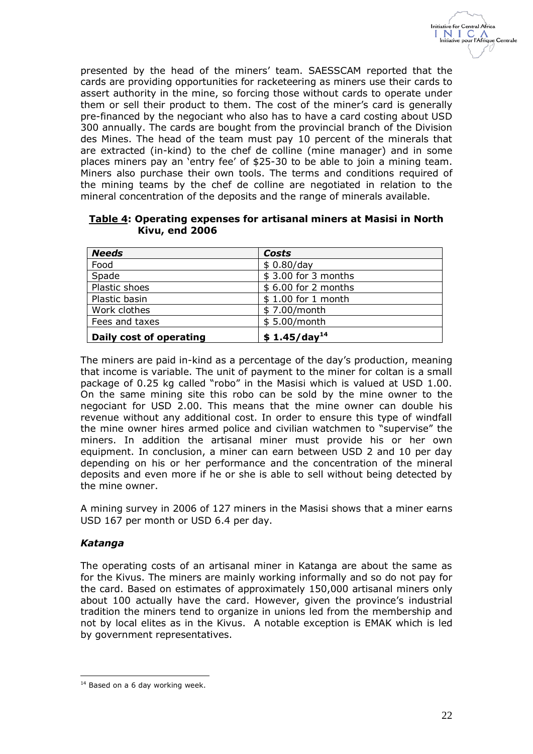Initiative for Central Africa INIC **NICA**<br>Initiative pour l'Afrique Centrale

presented by the head of the miners' team. SAESSCAM reported that the cards are providing opportunities for racketeering as miners use their cards to assert authority in the mine, so forcing those without cards to operate under them or sell their product to them. The cost of the miner's card is generally pre-financed by the negociant who also has to have a card costing about USD 300 annually. The cards are bought from the provincial branch of the Division des Mines. The head of the team must pay 10 percent of the minerals that are extracted (in-kind) to the chef de colline (mine manager) and in some places miners pay an 'entry fee' of \$25-30 to be able to join a mining team. Miners also purchase their own tools. The terms and conditions required of the mining teams by the chef de colline are negotiated in relation to the mineral concentration of the deposits and the range of minerals available.

| Table 4: Operating expenses for artisanal miners at Masisi in North |  |  |  |  |
|---------------------------------------------------------------------|--|--|--|--|
| <b>Kivu, end 2006</b>                                               |  |  |  |  |

| <b>Needs</b>            | Costs                    |
|-------------------------|--------------------------|
| Food                    | \$0.80/day               |
| Spade                   | \$3.00 for 3 months      |
| Plastic shoes           | \$6.00 for 2 months      |
| Plastic basin           | \$1.00 for 1 month       |
| Work clothes            | \$7.00/month             |
| Fees and taxes          | \$5.00/month             |
| Daily cost of operating | \$1.45/day <sup>14</sup> |

The miners are paid in-kind as a percentage of the day's production, meaning that income is variable. The unit of payment to the miner for coltan is a small package of 0.25 kg called "robo" in the Masisi which is valued at USD 1.00. On the same mining site this robo can be sold by the mine owner to the negociant for USD 2.00. This means that the mine owner can double his revenue without any additional cost. In order to ensure this type of windfall the mine owner hires armed police and civilian watchmen to "supervise" the miners. In addition the artisanal miner must provide his or her own equipment. In conclusion, a miner can earn between USD 2 and 10 per day depending on his or her performance and the concentration of the mineral deposits and even more if he or she is able to sell without being detected by the mine owner.

A mining survey in 2006 of 127 miners in the Masisi shows that a miner earns USD 167 per month or USD 6.4 per day.

## *Katanga*

The operating costs of an artisanal miner in Katanga are about the same as for the Kivus. The miners are mainly working informally and so do not pay for the card. Based on estimates of approximately 150,000 artisanal miners only about 100 actually have the card. However, given the province's industrial tradition the miners tend to organize in unions led from the membership and not by local elites as in the Kivus. A notable exception is EMAK which is led by government representatives.

<sup>&</sup>lt;sup>14</sup> Based on a 6 day working week.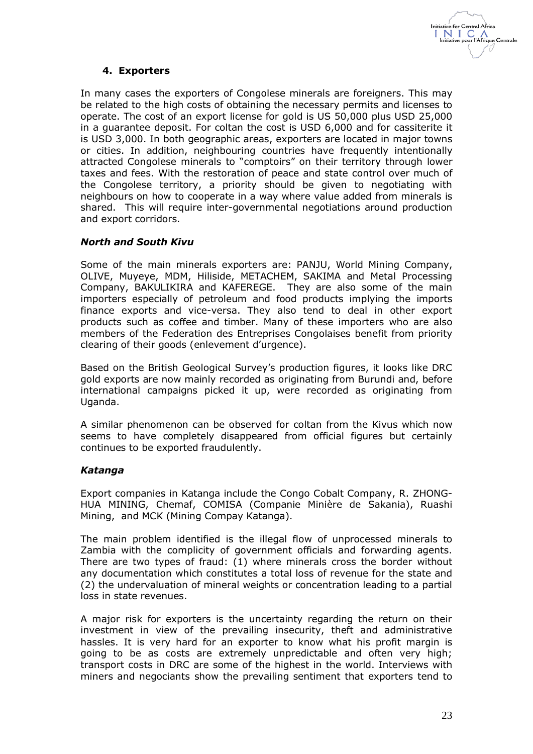

## **4. Exporters**

In many cases the exporters of Congolese minerals are foreigners. This may be related to the high costs of obtaining the necessary permits and licenses to operate. The cost of an export license for gold is US 50,000 plus USD 25,000 in a guarantee deposit. For coltan the cost is USD 6,000 and for cassiterite it is USD 3,000. In both geographic areas, exporters are located in major towns or cities. In addition, neighbouring countries have frequently intentionally attracted Congolese minerals to "comptoirs" on their territory through lower taxes and fees. With the restoration of peace and state control over much of the Congolese territory, a priority should be given to negotiating with neighbours on how to cooperate in a way where value added from minerals is shared. This will require inter-governmental negotiations around production and export corridors.

## *North and South Kivu*

Some of the main minerals exporters are: PANJU, World Mining Company, OLIVE, Muyeye, MDM, Hiliside, METACHEM, SAKIMA and Metal Processing Company, BAKULIKIRA and KAFEREGE. They are also some of the main importers especially of petroleum and food products implying the imports finance exports and vice-versa. They also tend to deal in other export products such as coffee and timber. Many of these importers who are also members of the Federation des Entreprises Congolaises benefit from priority clearing of their goods (enlevement d'urgence).

Based on the British Geological Survey's production figures, it looks like DRC gold exports are now mainly recorded as originating from Burundi and, before international campaigns picked it up, were recorded as originating from Uganda.

A similar phenomenon can be observed for coltan from the Kivus which now seems to have completely disappeared from official figures but certainly continues to be exported fraudulently.

## *Katanga*

Export companies in Katanga include the Congo Cobalt Company, R. ZHONG-HUA MINING, Chemaf, COMISA (Companie Minière de Sakania), Ruashi Mining, and MCK (Mining Compay Katanga).

The main problem identified is the illegal flow of unprocessed minerals to Zambia with the complicity of government officials and forwarding agents. There are two types of fraud: (1) where minerals cross the border without any documentation which constitutes a total loss of revenue for the state and (2) the undervaluation of mineral weights or concentration leading to a partial loss in state revenues.

A major risk for exporters is the uncertainty regarding the return on their investment in view of the prevailing insecurity, theft and administrative hassles. It is very hard for an exporter to know what his profit margin is going to be as costs are extremely unpredictable and often very high; transport costs in DRC are some of the highest in the world. Interviews with miners and negociants show the prevailing sentiment that exporters tend to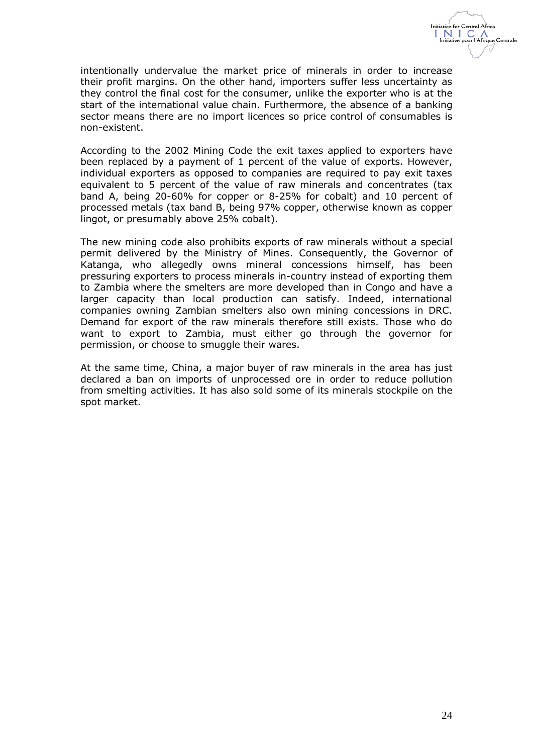

intentionally undervalue the market price of minerals in order to increase their profit margins. On the other hand, importers suffer less uncertainty as they control the final cost for the consumer, unlike the exporter who is at the start of the international value chain. Furthermore, the absence of a banking sector means there are no import licences so price control of consumables is non-existent.

According to the 2002 Mining Code the exit taxes applied to exporters have been replaced by a payment of 1 percent of the value of exports. However, individual exporters as opposed to companies are required to pay exit taxes equivalent to 5 percent of the value of raw minerals and concentrates (tax band A, being 20-60% for copper or 8-25% for cobalt) and 10 percent of processed metals (tax band B, being 97% copper, otherwise known as copper lingot, or presumably above 25% cobalt).

The new mining code also prohibits exports of raw minerals without a special permit delivered by the Ministry of Mines. Consequently, the Governor of Katanga, who allegedly owns mineral concessions himself, has been pressuring exporters to process minerals in-country instead of exporting them to Zambia where the smelters are more developed than in Congo and have a larger capacity than local production can satisfy. Indeed, international companies owning Zambian smelters also own mining concessions in DRC. Demand for export of the raw minerals therefore still exists. Those who do want to export to Zambia, must either go through the governor for permission, or choose to smuggle their wares.

At the same time, China, a major buyer of raw minerals in the area has just declared a ban on imports of unprocessed ore in order to reduce pollution from smelting activities. It has also sold some of its minerals stockpile on the spot market.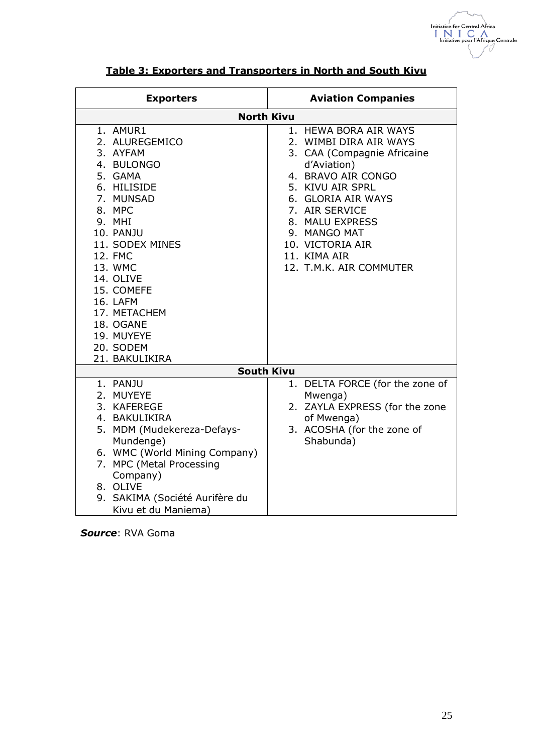

| <b>Exporters</b>                                                                                                                                                                                                                                                                       | <b>Aviation Companies</b>                                                                                                                                                                                                                                                         |  |  |  |
|----------------------------------------------------------------------------------------------------------------------------------------------------------------------------------------------------------------------------------------------------------------------------------------|-----------------------------------------------------------------------------------------------------------------------------------------------------------------------------------------------------------------------------------------------------------------------------------|--|--|--|
| <b>North Kivu</b>                                                                                                                                                                                                                                                                      |                                                                                                                                                                                                                                                                                   |  |  |  |
| 1. AMUR1<br>2. ALUREGEMICO<br>3. AYFAM<br>4. BULONGO<br>5. GAMA<br>6. HILISIDE<br>7. MUNSAD<br>8. MPC<br>9. MHI<br>10. PANJU<br>11. SODEX MINES<br>12. FMC<br>13. WMC<br>14. OLIVE<br>15. COMEFE<br>16. LAFM<br>17. METACHEM<br>18. OGANE<br>19. MUYEYE<br>20. SODEM<br>21. BAKULIKIRA | 1. HEWA BORA AIR WAYS<br>2. WIMBI DIRA AIR WAYS<br>3. CAA (Compagnie Africaine<br>d'Aviation)<br>4. BRAVO AIR CONGO<br>5. KIVU AIR SPRL<br>6. GLORIA AIR WAYS<br>7. AIR SERVICE<br>8. MALU EXPRESS<br>9. MANGO MAT<br>10. VICTORIA AIR<br>11. KIMA AIR<br>12. T.M.K. AIR COMMUTER |  |  |  |
| <b>South Kivu</b>                                                                                                                                                                                                                                                                      |                                                                                                                                                                                                                                                                                   |  |  |  |
| 1. PANJU<br>2. MUYEYE<br>3. KAFEREGE<br>4. BAKULIKIRA<br>5. MDM (Mudekereza-Defays-<br>Mundenge)<br>6. WMC (World Mining Company)<br>7. MPC (Metal Processing<br>Company)<br>8. OLIVE<br>9. SAKIMA (Société Aurifère du<br>Kivu et du Maniema)                                         | 1. DELTA FORCE (for the zone of<br>Mwenga)<br>2. ZAYLA EXPRESS (for the zone<br>of Mwenga)<br>3. ACOSHA (for the zone of<br>Shabunda)                                                                                                                                             |  |  |  |

# **Table 3: Exporters and Transporters in North and South Kivu**

*Source*: RVA Goma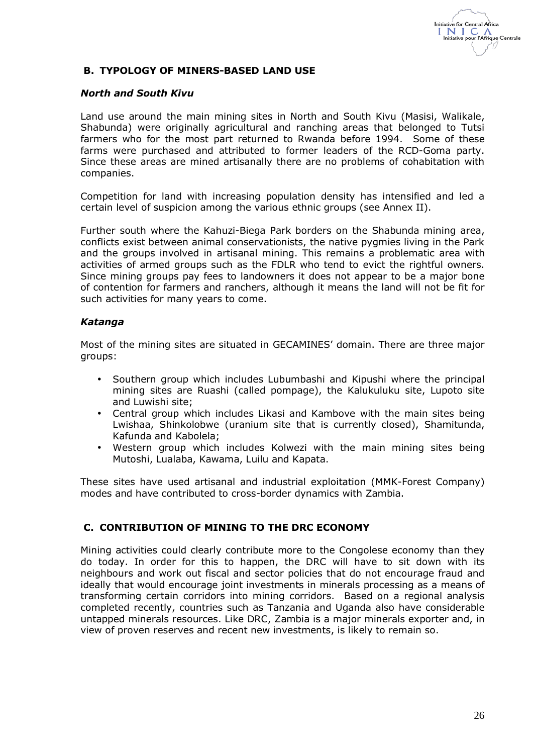Initiative for Central Africa MICA<br>Initiative pour l'Afrique Centrale

## **B. TYPOLOGY OF MINERS-BASED LAND USE**

#### *North and South Kivu*

Land use around the main mining sites in North and South Kivu (Masisi, Walikale, Shabunda) were originally agricultural and ranching areas that belonged to Tutsi farmers who for the most part returned to Rwanda before 1994. Some of these farms were purchased and attributed to former leaders of the RCD-Goma party. Since these areas are mined artisanally there are no problems of cohabitation with companies.

Competition for land with increasing population density has intensified and led a certain level of suspicion among the various ethnic groups (see Annex II).

Further south where the Kahuzi-Biega Park borders on the Shabunda mining area, conflicts exist between animal conservationists, the native pygmies living in the Park and the groups involved in artisanal mining. This remains a problematic area with activities of armed groups such as the FDLR who tend to evict the rightful owners. Since mining groups pay fees to landowners it does not appear to be a major bone of contention for farmers and ranchers, although it means the land will not be fit for such activities for many years to come.

#### *Katanga*

Most of the mining sites are situated in GECAMINES' domain. There are three major groups:

- Southern group which includes Lubumbashi and Kipushi where the principal mining sites are Ruashi (called pompage), the Kalukuluku site, Lupoto site and Luwishi site;
- Central group which includes Likasi and Kambove with the main sites being Lwishaa, Shinkolobwe (uranium site that is currently closed), Shamitunda, Kafunda and Kabolela;
- Western group which includes Kolwezi with the main mining sites being Mutoshi, Lualaba, Kawama, Luilu and Kapata.

These sites have used artisanal and industrial exploitation (MMK-Forest Company) modes and have contributed to cross-border dynamics with Zambia.

## **C. CONTRIBUTION OF MINING TO THE DRC ECONOMY**

Mining activities could clearly contribute more to the Congolese economy than they do today. In order for this to happen, the DRC will have to sit down with its neighbours and work out fiscal and sector policies that do not encourage fraud and ideally that would encourage joint investments in minerals processing as a means of transforming certain corridors into mining corridors. Based on a regional analysis completed recently, countries such as Tanzania and Uganda also have considerable untapped minerals resources. Like DRC, Zambia is a major minerals exporter and, in view of proven reserves and recent new investments, is likely to remain so.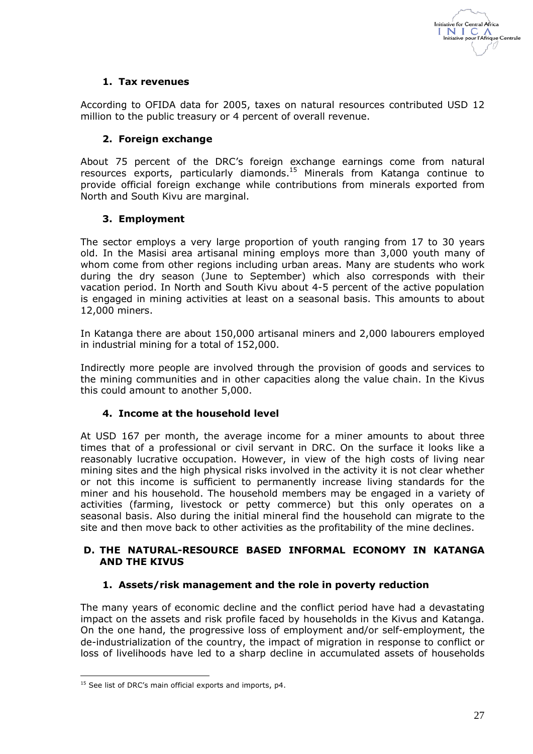Initiative for Central Africa All CA<br>Initiative pour l'Afrique Centrale

## **1. Tax revenues**

According to OFIDA data for 2005, taxes on natural resources contributed USD 12 million to the public treasury or 4 percent of overall revenue.

## **2. Foreign exchange**

About 75 percent of the DRC's foreign exchange earnings come from natural resources exports, particularly diamonds.<sup>15</sup> Minerals from Katanga continue to provide official foreign exchange while contributions from minerals exported from North and South Kivu are marginal.

## **3. Employment**

The sector employs a very large proportion of youth ranging from 17 to 30 years old. In the Masisi area artisanal mining employs more than 3,000 youth many of whom come from other regions including urban areas. Many are students who work during the dry season (June to September) which also corresponds with their vacation period. In North and South Kivu about 4-5 percent of the active population is engaged in mining activities at least on a seasonal basis. This amounts to about 12,000 miners.

In Katanga there are about 150,000 artisanal miners and 2,000 labourers employed in industrial mining for a total of 152,000.

Indirectly more people are involved through the provision of goods and services to the mining communities and in other capacities along the value chain. In the Kivus this could amount to another 5,000.

## **4. Income at the household level**

At USD 167 per month, the average income for a miner amounts to about three times that of a professional or civil servant in DRC. On the surface it looks like a reasonably lucrative occupation. However, in view of the high costs of living near mining sites and the high physical risks involved in the activity it is not clear whether or not this income is sufficient to permanently increase living standards for the miner and his household. The household members may be engaged in a variety of activities (farming, livestock or petty commerce) but this only operates on a seasonal basis. Also during the initial mineral find the household can migrate to the site and then move back to other activities as the profitability of the mine declines.

## **D. THE NATURAL-RESOURCE BASED INFORMAL ECONOMY IN KATANGA AND THE KIVUS**

## **1. Assets/risk management and the role in poverty reduction**

The many years of economic decline and the conflict period have had a devastating impact on the assets and risk profile faced by households in the Kivus and Katanga. On the one hand, the progressive loss of employment and/or self-employment, the de-industrialization of the country, the impact of migration in response to conflict or loss of livelihoods have led to a sharp decline in accumulated assets of households

 $15$  See list of DRC's main official exports and imports, p4.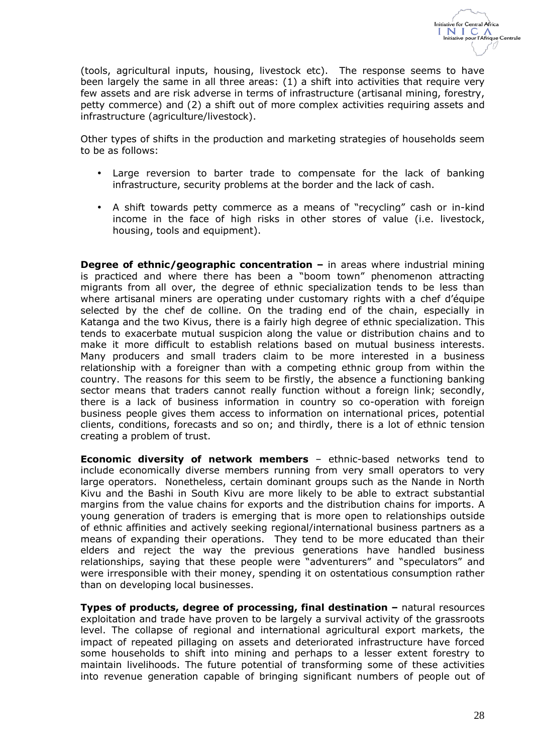Initiative for Central Africa IN I C A<br>Initiative pour l'Afrique Centrale

(tools, agricultural inputs, housing, livestock etc). The response seems to have been largely the same in all three areas: (1) a shift into activities that require very few assets and are risk adverse in terms of infrastructure (artisanal mining, forestry, petty commerce) and (2) a shift out of more complex activities requiring assets and infrastructure (agriculture/livestock).

Other types of shifts in the production and marketing strategies of households seem to be as follows:

- Large reversion to barter trade to compensate for the lack of banking infrastructure, security problems at the border and the lack of cash.
- A shift towards petty commerce as a means of "recycling" cash or in-kind income in the face of high risks in other stores of value (i.e. livestock, housing, tools and equipment).

**Degree of ethnic/geographic concentration –** in areas where industrial mining is practiced and where there has been a "boom town" phenomenon attracting migrants from all over, the degree of ethnic specialization tends to be less than where artisanal miners are operating under customary rights with a chef d'équipe selected by the chef de colline. On the trading end of the chain, especially in Katanga and the two Kivus, there is a fairly high degree of ethnic specialization. This tends to exacerbate mutual suspicion along the value or distribution chains and to make it more difficult to establish relations based on mutual business interests. Many producers and small traders claim to be more interested in a business relationship with a foreigner than with a competing ethnic group from within the country. The reasons for this seem to be firstly, the absence a functioning banking sector means that traders cannot really function without a foreign link; secondly, there is a lack of business information in country so co-operation with foreign business people gives them access to information on international prices, potential clients, conditions, forecasts and so on; and thirdly, there is a lot of ethnic tension creating a problem of trust.

**Economic diversity of network members** - ethnic-based networks tend to include economically diverse members running from very small operators to very large operators. Nonetheless, certain dominant groups such as the Nande in North Kivu and the Bashi in South Kivu are more likely to be able to extract substantial margins from the value chains for exports and the distribution chains for imports. A young generation of traders is emerging that is more open to relationships outside of ethnic affinities and actively seeking regional/international business partners as a means of expanding their operations. They tend to be more educated than their elders and reject the way the previous generations have handled business relationships, saying that these people were "adventurers" and "speculators" and were irresponsible with their money, spending it on ostentatious consumption rather than on developing local businesses.

**Types of products, degree of processing, final destination**  $-$  **natural resources** exploitation and trade have proven to be largely a survival activity of the grassroots level. The collapse of regional and international agricultural export markets, the impact of repeated pillaging on assets and deteriorated infrastructure have forced some households to shift into mining and perhaps to a lesser extent forestry to maintain livelihoods. The future potential of transforming some of these activities into revenue generation capable of bringing significant numbers of people out of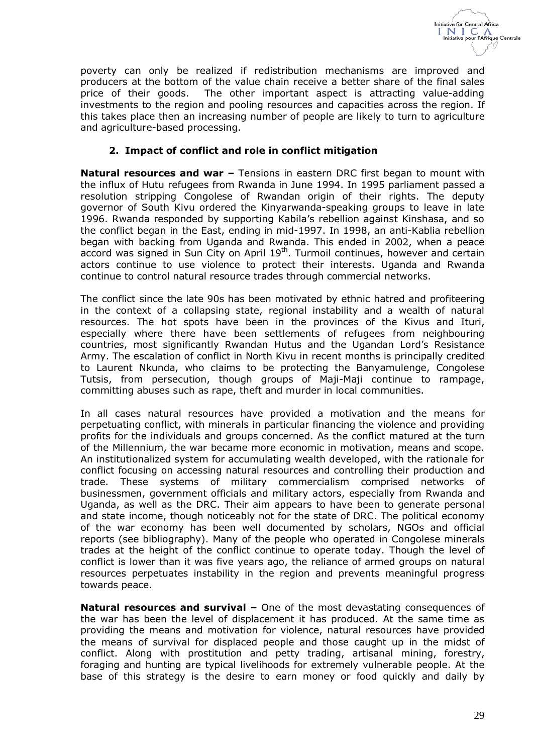Initiative for Central Africa NICA<br>nitiative pour l'Afrique Centrale

poverty can only be realized if redistribution mechanisms are improved and producers at the bottom of the value chain receive a better share of the final sales price of their goods. The other important aspect is attracting value-adding investments to the region and pooling resources and capacities across the region. If this takes place then an increasing number of people are likely to turn to agriculture and agriculture-based processing.

## **2. Impact of conflict and role in conflict mitigation**

**Natural resources and war –** Tensions in eastern DRC first began to mount with the influx of Hutu refugees from Rwanda in June 1994. In 1995 parliament passed a resolution stripping Congolese of Rwandan origin of their rights. The deputy governor of South Kivu ordered the Kinyarwanda-speaking groups to leave in late 1996. Rwanda responded by supporting Kabila's rebellion against Kinshasa, and so the conflict began in the East, ending in mid-1997. In 1998, an anti-Kablia rebellion began with backing from Uganda and Rwanda. This ended in 2002, when a peace accord was signed in Sun City on April 19<sup>th</sup>. Turmoil continues, however and certain actors continue to use violence to protect their interests. Uganda and Rwanda continue to control natural resource trades through commercial networks.

The conflict since the late 90s has been motivated by ethnic hatred and profiteering in the context of a collapsing state, regional instability and a wealth of natural resources. The hot spots have been in the provinces of the Kivus and Ituri, especially where there have been settlements of refugees from neighbouring countries, most significantly Rwandan Hutus and the Ugandan Lord's Resistance Army. The escalation of conflict in North Kivu in recent months is principally credited to Laurent Nkunda, who claims to be protecting the Banyamulenge, Congolese Tutsis, from persecution, though groups of Maji-Maji continue to rampage, committing abuses such as rape, theft and murder in local communities.

In all cases natural resources have provided a motivation and the means for perpetuating conflict, with minerals in particular financing the violence and providing profits for the individuals and groups concerned. As the conflict matured at the turn of the Millennium, the war became more economic in motivation, means and scope. An institutionalized system for accumulating wealth developed, with the rationale for conflict focusing on accessing natural resources and controlling their production and trade. These systems of military commercialism comprised networks of businessmen, government officials and military actors, especially from Rwanda and Uganda, as well as the DRC. Their aim appears to have been to generate personal and state income, though noticeably not for the state of DRC. The political economy of the war economy has been well documented by scholars, NGOs and official reports (see bibliography). Many of the people who operated in Congolese minerals trades at the height of the conflict continue to operate today. Though the level of conflict is lower than it was five years ago, the reliance of armed groups on natural resources perpetuates instability in the region and prevents meaningful progress towards peace.

**Natural resources and survival –** One of the most devastating consequences of the war has been the level of displacement it has produced. At the same time as providing the means and motivation for violence, natural resources have provided the means of survival for displaced people and those caught up in the midst of conflict. Along with prostitution and petty trading, artisanal mining, forestry, foraging and hunting are typical livelihoods for extremely vulnerable people. At the base of this strategy is the desire to earn money or food quickly and daily by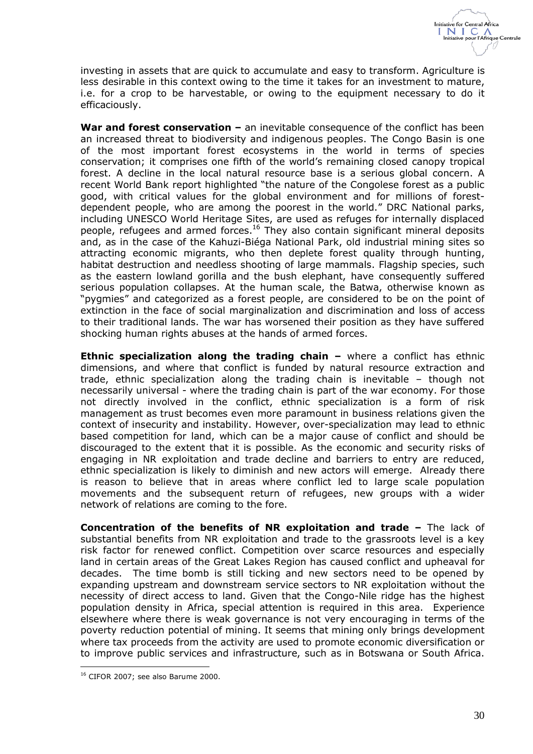Initiative for Central Africa N I C A<br>Initiative pour l'Afrique Centrale

investing in assets that are quick to accumulate and easy to transform. Agriculture is less desirable in this context owing to the time it takes for an investment to mature, i.e. for a crop to be harvestable, or owing to the equipment necessary to do it efficaciously.

**War and forest conservation –** an inevitable consequence of the conflict has been an increased threat to biodiversity and indigenous peoples. The Congo Basin is one of the most important forest ecosystems in the world in terms of species conservation; it comprises one fifth of the world's remaining closed canopy tropical forest. A decline in the local natural resource base is a serious global concern. A recent World Bank report highlighted "the nature of the Congolese forest as a public good, with critical values for the global environment and for millions of forestdependent people, who are among the poorest in the world." DRC National parks, including UNESCO World Heritage Sites, are used as refuges for internally displaced people, refugees and armed forces.<sup>16</sup> They also contain significant mineral deposits and, as in the case of the Kahuzi-Biéga National Park, old industrial mining sites so attracting economic migrants, who then deplete forest quality through hunting, habitat destruction and needless shooting of large mammals. Flagship species, such as the eastern lowland gorilla and the bush elephant, have consequently suffered serious population collapses. At the human scale, the Batwa, otherwise known as "pygmies" and categorized as a forest people, are considered to be on the point of extinction in the face of social marginalization and discrimination and loss of access to their traditional lands. The war has worsened their position as they have suffered shocking human rights abuses at the hands of armed forces.

**Ethnic specialization along the trading chain –** where a conflict has ethnic dimensions, and where that conflict is funded by natural resource extraction and trade, ethnic specialization along the trading chain is inevitable  $-$  though not necessarily universal - where the trading chain is part of the war economy. For those not directly involved in the conflict, ethnic specialization is a form of risk management as trust becomes even more paramount in business relations given the context of insecurity and instability. However, over-specialization may lead to ethnic based competition for land, which can be a major cause of conflict and should be discouraged to the extent that it is possible. As the economic and security risks of engaging in NR exploitation and trade decline and barriers to entry are reduced, ethnic specialization is likely to diminish and new actors will emerge. Already there is reason to believe that in areas where conflict led to large scale population movements and the subsequent return of refugees, new groups with a wider network of relations are coming to the fore.

**Concentration of the benefits of NR exploitation and trade - The lack of** substantial benefits from NR exploitation and trade to the grassroots level is a key risk factor for renewed conflict. Competition over scarce resources and especially land in certain areas of the Great Lakes Region has caused conflict and upheaval for decades. The time bomb is still ticking and new sectors need to be opened by expanding upstream and downstream service sectors to NR exploitation without the necessity of direct access to land. Given that the Congo-Nile ridge has the highest population density in Africa, special attention is required in this area. Experience elsewhere where there is weak governance is not very encouraging in terms of the poverty reduction potential of mining. It seems that mining only brings development where tax proceeds from the activity are used to promote economic diversification or to improve public services and infrastructure, such as in Botswana or South Africa.

<sup>&</sup>lt;sup>16</sup> CIFOR 2007; see also Barume 2000.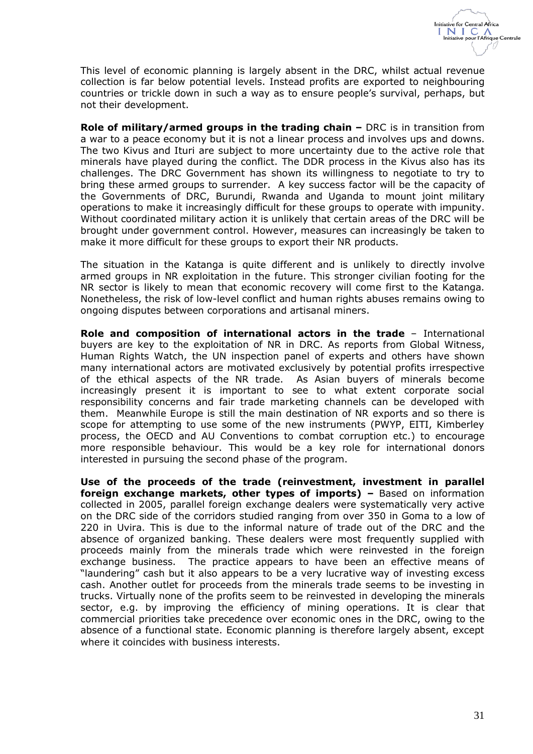Initiative for Central Africa All CA<br>Initiative pour l'Afrique Centrale

This level of economic planning is largely absent in the DRC, whilst actual revenue collection is far below potential levels. Instead profits are exported to neighbouring countries or trickle down in such a way as to ensure people's survival, perhaps, but not their development.

**Role of military/armed groups in the trading chain – DRC is in transition from** a war to a peace economy but it is not a linear process and involves ups and downs. The two Kivus and Ituri are subject to more uncertainty due to the active role that minerals have played during the conflict. The DDR process in the Kivus also has its challenges. The DRC Government has shown its willingness to negotiate to try to bring these armed groups to surrender. A key success factor will be the capacity of the Governments of DRC, Burundi, Rwanda and Uganda to mount joint military operations to make it increasingly difficult for these groups to operate with impunity. Without coordinated military action it is unlikely that certain areas of the DRC will be brought under government control. However, measures can increasingly be taken to make it more difficult for these groups to export their NR products.

The situation in the Katanga is quite different and is unlikely to directly involve armed groups in NR exploitation in the future. This stronger civilian footing for the NR sector is likely to mean that economic recovery will come first to the Katanga. Nonetheless, the risk of low-level conflict and human rights abuses remains owing to ongoing disputes between corporations and artisanal miners.

**Role and composition of international actors in the trade** - International buyers are key to the exploitation of NR in DRC. As reports from Global Witness, Human Rights Watch, the UN inspection panel of experts and others have shown many international actors are motivated exclusively by potential profits irrespective of the ethical aspects of the NR trade. As Asian buyers of minerals become increasingly present it is important to see to what extent corporate social responsibility concerns and fair trade marketing channels can be developed with them. Meanwhile Europe is still the main destination of NR exports and so there is scope for attempting to use some of the new instruments (PWYP, EITI, Kimberley process, the OECD and AU Conventions to combat corruption etc.) to encourage more responsible behaviour. This would be a key role for international donors interested in pursuing the second phase of the program.

**Use of the proceeds of the trade (reinvestment, investment in parallel foreign exchange markets, other types of imports) -** Based on information collected in 2005, parallel foreign exchange dealers were systematically very active on the DRC side of the corridors studied ranging from over 350 in Goma to a low of 220 in Uvira. This is due to the informal nature of trade out of the DRC and the absence of organized banking. These dealers were most frequently supplied with proceeds mainly from the minerals trade which were reinvested in the foreign exchange business. The practice appears to have been an effective means of "laundering" cash but it also appears to be a very lucrative way of investing excess cash. Another outlet for proceeds from the minerals trade seems to be investing in trucks. Virtually none of the profits seem to be reinvested in developing the minerals sector, e.g. by improving the efficiency of mining operations. It is clear that commercial priorities take precedence over economic ones in the DRC, owing to the absence of a functional state. Economic planning is therefore largely absent, except where it coincides with business interests.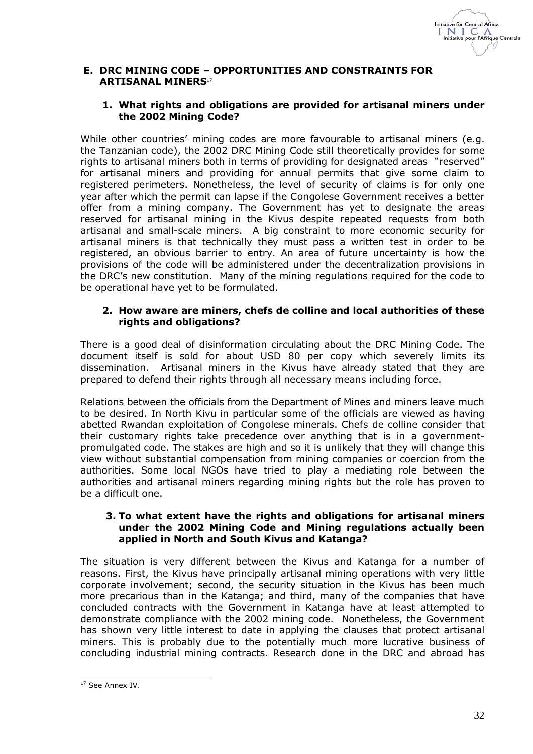

#### **E. DRC MINING CODE ± OPPORTUNITIES AND CONSTRAINTS FOR ARTISANAL MINERS**<sup>17</sup>

## **1. What rights and obligations are provided for artisanal miners under the 2002 Mining Code?**

While other countries' mining codes are more favourable to artisanal miners (e.g. the Tanzanian code), the 2002 DRC Mining Code still theoretically provides for some rights to artisanal miners both in terms of providing for designated areas "reserved" for artisanal miners and providing for annual permits that give some claim to registered perimeters. Nonetheless, the level of security of claims is for only one year after which the permit can lapse if the Congolese Government receives a better offer from a mining company. The Government has yet to designate the areas reserved for artisanal mining in the Kivus despite repeated requests from both artisanal and small-scale miners. A big constraint to more economic security for artisanal miners is that technically they must pass a written test in order to be registered, an obvious barrier to entry. An area of future uncertainty is how the provisions of the code will be administered under the decentralization provisions in the DRC's new constitution. Many of the mining regulations required for the code to be operational have yet to be formulated.

## **2. How aware are miners, chefs de colline and local authorities of these rights and obligations?**

There is a good deal of disinformation circulating about the DRC Mining Code. The document itself is sold for about USD 80 per copy which severely limits its dissemination. Artisanal miners in the Kivus have already stated that they are prepared to defend their rights through all necessary means including force.

Relations between the officials from the Department of Mines and miners leave much to be desired. In North Kivu in particular some of the officials are viewed as having abetted Rwandan exploitation of Congolese minerals. Chefs de colline consider that their customary rights take precedence over anything that is in a governmentpromulgated code. The stakes are high and so it is unlikely that they will change this view without substantial compensation from mining companies or coercion from the authorities. Some local NGOs have tried to play a mediating role between the authorities and artisanal miners regarding mining rights but the role has proven to be a difficult one.

#### **3. To what extent have the rights and obligations for artisanal miners under the 2002 Mining Code and Mining regulations actually been applied in North and South Kivus and Katanga?**

The situation is very different between the Kivus and Katanga for a number of reasons. First, the Kivus have principally artisanal mining operations with very little corporate involvement; second, the security situation in the Kivus has been much more precarious than in the Katanga; and third, many of the companies that have concluded contracts with the Government in Katanga have at least attempted to demonstrate compliance with the 2002 mining code. Nonetheless, the Government has shown very little interest to date in applying the clauses that protect artisanal miners. This is probably due to the potentially much more lucrative business of concluding industrial mining contracts. Research done in the DRC and abroad has

<sup>&</sup>lt;sup>17</sup> See Annex IV.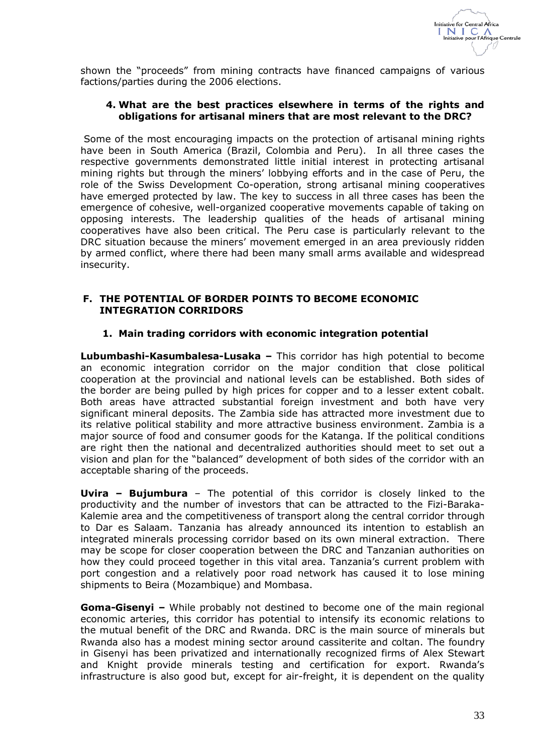

shown the "proceeds" from mining contracts have financed campaigns of various factions/parties during the 2006 elections.

## **4. What are the best practices elsewhere in terms of the rights and obligations for artisanal miners that are most relevant to the DRC?**

Some of the most encouraging impacts on the protection of artisanal mining rights have been in South America (Brazil, Colombia and Peru). In all three cases the respective governments demonstrated little initial interest in protecting artisanal mining rights but through the miners' lobbying efforts and in the case of Peru, the role of the Swiss Development Co-operation, strong artisanal mining cooperatives have emerged protected by law. The key to success in all three cases has been the emergence of cohesive, well-organized cooperative movements capable of taking on opposing interests. The leadership qualities of the heads of artisanal mining cooperatives have also been critical. The Peru case is particularly relevant to the DRC situation because the miners' movement emerged in an area previously ridden by armed conflict, where there had been many small arms available and widespread insecurity.

## **F. THE POTENTIAL OF BORDER POINTS TO BECOME ECONOMIC INTEGRATION CORRIDORS**

## **1. Main trading corridors with economic integration potential**

**Lubumbashi-Kasumbalesa-Lusaka ±** This corridor has high potential to become an economic integration corridor on the major condition that close political cooperation at the provincial and national levels can be established. Both sides of the border are being pulled by high prices for copper and to a lesser extent cobalt. Both areas have attracted substantial foreign investment and both have very significant mineral deposits. The Zambia side has attracted more investment due to its relative political stability and more attractive business environment. Zambia is a major source of food and consumer goods for the Katanga. If the political conditions are right then the national and decentralized authorities should meet to set out a vision and plan for the "balanced" development of both sides of the corridor with an acceptable sharing of the proceeds.

**Uvira - Bujumbura** - The potential of this corridor is closely linked to the productivity and the number of investors that can be attracted to the Fizi-Baraka-Kalemie area and the competitiveness of transport along the central corridor through to Dar es Salaam. Tanzania has already announced its intention to establish an integrated minerals processing corridor based on its own mineral extraction. There may be scope for closer cooperation between the DRC and Tanzanian authorities on how they could proceed together in this vital area. Tanzania's current problem with port congestion and a relatively poor road network has caused it to lose mining shipments to Beira (Mozambique) and Mombasa.

**Goma-Gisenyi** – While probably not destined to become one of the main regional economic arteries, this corridor has potential to intensify its economic relations to the mutual benefit of the DRC and Rwanda. DRC is the main source of minerals but Rwanda also has a modest mining sector around cassiterite and coltan. The foundry in Gisenyi has been privatized and internationally recognized firms of Alex Stewart and Knight provide minerals testing and certification for export. Rwanda's infrastructure is also good but, except for air-freight, it is dependent on the quality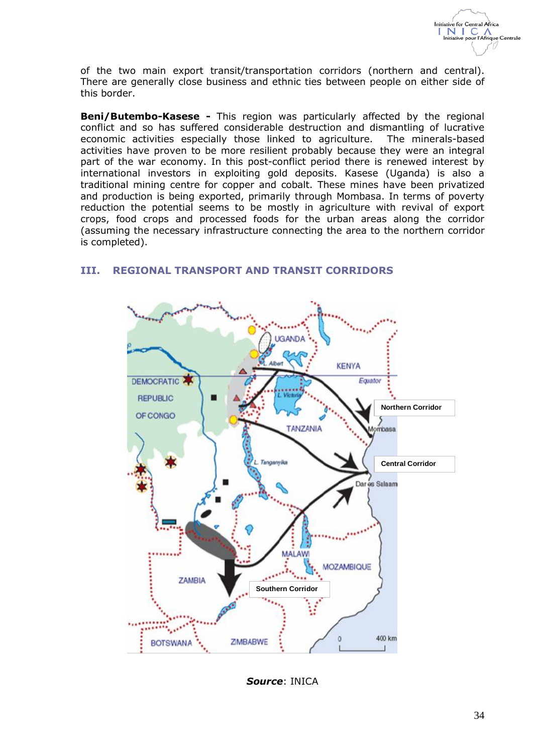of the two main export transit/transportation corridors (northern and central). There are generally close business and ethnic ties between people on either side of this border.

**Beni/Butembo-Kasese -** This region was particularly affected by the regional conflict and so has suffered considerable destruction and dismantling of lucrative economic activities especially those linked to agriculture. The minerals-based activities have proven to be more resilient probably because they were an integral part of the war economy. In this post-conflict period there is renewed interest by international investors in exploiting gold deposits. Kasese (Uganda) is also a traditional mining centre for copper and cobalt. These mines have been privatized and production is being exported, primarily through Mombasa. In terms of poverty reduction the potential seems to be mostly in agriculture with revival of export crops, food crops and processed foods for the urban areas along the corridor (assuming the necessary infrastructure connecting the area to the northern corridor is completed).



## **III. REGIONAL TRANSPORT AND TRANSIT CORRIDORS**

*Source*: INICA

Initiative for Central Africa NICA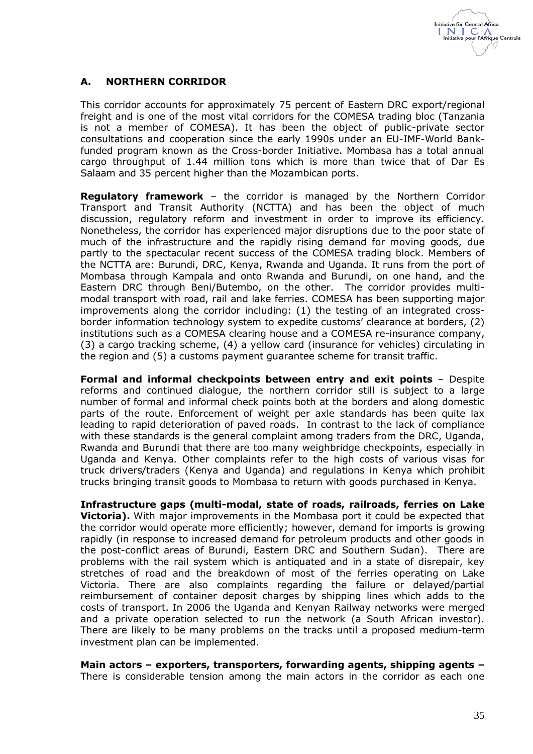

## **A. NORTHERN CORRIDOR**

This corridor accounts for approximately 75 percent of Eastern DRC export/regional freight and is one of the most vital corridors for the COMESA trading bloc (Tanzania is not a member of COMESA). It has been the object of public-private sector consultations and cooperation since the early 1990s under an EU-IMF-World Bankfunded program known as the Cross-border Initiative. Mombasa has a total annual cargo throughput of 1.44 million tons which is more than twice that of Dar Es Salaam and 35 percent higher than the Mozambican ports.

**Regulatory framework** - the corridor is managed by the Northern Corridor Transport and Transit Authority (NCTTA) and has been the object of much discussion, regulatory reform and investment in order to improve its efficiency. Nonetheless, the corridor has experienced major disruptions due to the poor state of much of the infrastructure and the rapidly rising demand for moving goods, due partly to the spectacular recent success of the COMESA trading block. Members of the NCTTA are: Burundi, DRC, Kenya, Rwanda and Uganda. It runs from the port of Mombasa through Kampala and onto Rwanda and Burundi, on one hand, and the Eastern DRC through Beni/Butembo, on the other. The corridor provides multimodal transport with road, rail and lake ferries. COMESA has been supporting major improvements along the corridor including: (1) the testing of an integrated crossborder information technology system to expedite customs' clearance at borders, (2) institutions such as a COMESA clearing house and a COMESA re-insurance company, (3) a cargo tracking scheme, (4) a yellow card (insurance for vehicles) circulating in the region and (5) a customs payment guarantee scheme for transit traffic.

**Formal and informal checkpoints between entry and exit points** - Despite reforms and continued dialogue, the northern corridor still is subject to a large number of formal and informal check points both at the borders and along domestic parts of the route. Enforcement of weight per axle standards has been quite lax leading to rapid deterioration of paved roads. In contrast to the lack of compliance with these standards is the general complaint among traders from the DRC, Uganda, Rwanda and Burundi that there are too many weighbridge checkpoints, especially in Uganda and Kenya. Other complaints refer to the high costs of various visas for truck drivers/traders (Kenya and Uganda) and regulations in Kenya which prohibit trucks bringing transit goods to Mombasa to return with goods purchased in Kenya.

**Infrastructure gaps (multi-modal, state of roads, railroads, ferries on Lake Victoria).** With major improvements in the Mombasa port it could be expected that the corridor would operate more efficiently; however, demand for imports is growing rapidly (in response to increased demand for petroleum products and other goods in the post-conflict areas of Burundi, Eastern DRC and Southern Sudan). There are problems with the rail system which is antiquated and in a state of disrepair, key stretches of road and the breakdown of most of the ferries operating on Lake Victoria. There are also complaints regarding the failure or delayed/partial reimbursement of container deposit charges by shipping lines which adds to the costs of transport. In 2006 the Uganda and Kenyan Railway networks were merged and a private operation selected to run the network (a South African investor). There are likely to be many problems on the tracks until a proposed medium-term investment plan can be implemented.

**Main actors - exporters, transporters, forwarding agents, shipping agents -**There is considerable tension among the main actors in the corridor as each one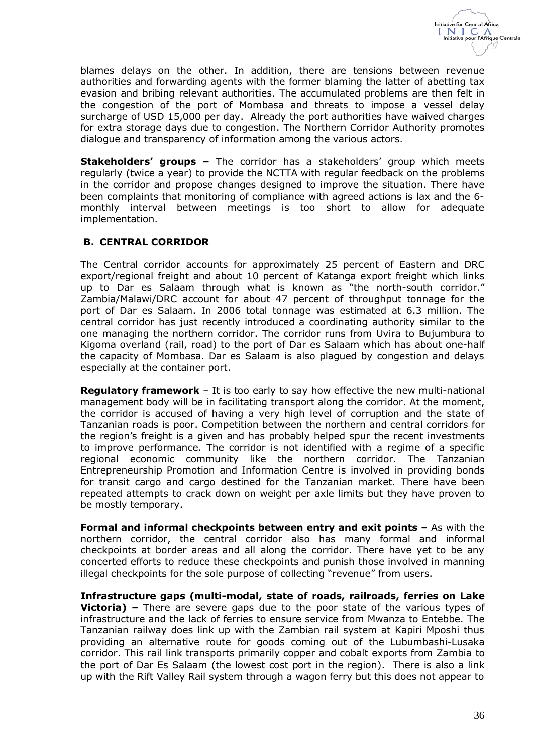blames delays on the other. In addition, there are tensions between revenue authorities and forwarding agents with the former blaming the latter of abetting tax evasion and bribing relevant authorities. The accumulated problems are then felt in the congestion of the port of Mombasa and threats to impose a vessel delay surcharge of USD 15,000 per day. Already the port authorities have waived charges for extra storage days due to congestion. The Northern Corridor Authority promotes dialogue and transparency of information among the various actors.

**Stakeholders' groups –** The corridor has a stakeholders' group which meets regularly (twice a year) to provide the NCTTA with regular feedback on the problems in the corridor and propose changes designed to improve the situation. There have been complaints that monitoring of compliance with agreed actions is lax and the 6 monthly interval between meetings is too short to allow for adequate implementation.

# **B. CENTRAL CORRIDOR**

The Central corridor accounts for approximately 25 percent of Eastern and DRC export/regional freight and about 10 percent of Katanga export freight which links up to Dar es Salaam through what is known as "the north-south corridor." Zambia/Malawi/DRC account for about 47 percent of throughput tonnage for the port of Dar es Salaam. In 2006 total tonnage was estimated at 6.3 million. The central corridor has just recently introduced a coordinating authority similar to the one managing the northern corridor. The corridor runs from Uvira to Bujumbura to Kigoma overland (rail, road) to the port of Dar es Salaam which has about one-half the capacity of Mombasa. Dar es Salaam is also plagued by congestion and delays especially at the container port.

**Regulatory framework** – It is too early to say how effective the new multi-national management body will be in facilitating transport along the corridor. At the moment, the corridor is accused of having a very high level of corruption and the state of Tanzanian roads is poor. Competition between the northern and central corridors for the region's freight is a given and has probably helped spur the recent investments to improve performance. The corridor is not identified with a regime of a specific regional economic community like the northern corridor. The Tanzanian Entrepreneurship Promotion and Information Centre is involved in providing bonds for transit cargo and cargo destined for the Tanzanian market. There have been repeated attempts to crack down on weight per axle limits but they have proven to be mostly temporary.

**Formal and informal checkpoints between entry and exit points**  $-$  **As with the** northern corridor, the central corridor also has many formal and informal checkpoints at border areas and all along the corridor. There have yet to be any concerted efforts to reduce these checkpoints and punish those involved in manning illegal checkpoints for the sole purpose of collecting "revenue" from users.

**Infrastructure gaps (multi-modal, state of roads, railroads, ferries on Lake Victoria) ±** There are severe gaps due to the poor state of the various types of infrastructure and the lack of ferries to ensure service from Mwanza to Entebbe. The Tanzanian railway does link up with the Zambian rail system at Kapiri Mposhi thus providing an alternative route for goods coming out of the Lubumbashi-Lusaka corridor. This rail link transports primarily copper and cobalt exports from Zambia to the port of Dar Es Salaam (the lowest cost port in the region). There is also a link up with the Rift Valley Rail system through a wagon ferry but this does not appear to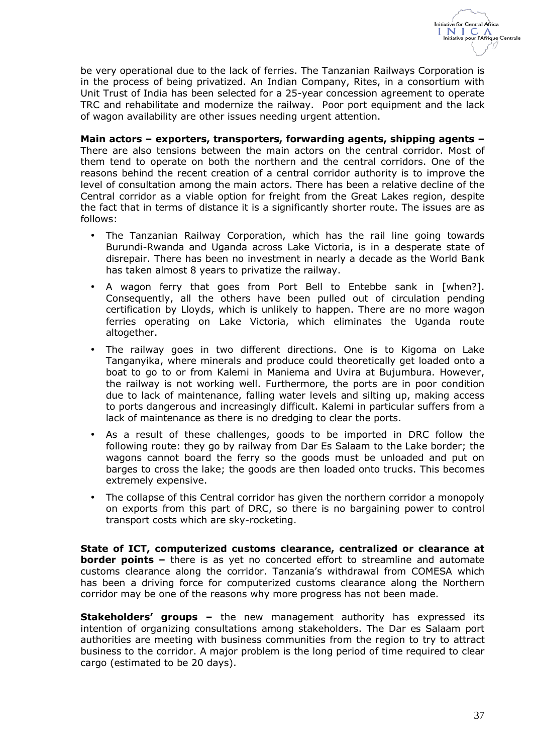be very operational due to the lack of ferries. The Tanzanian Railways Corporation is in the process of being privatized. An Indian Company, Rites, in a consortium with Unit Trust of India has been selected for a 25-year concession agreement to operate TRC and rehabilitate and modernize the railway. Poor port equipment and the lack of wagon availability are other issues needing urgent attention.

**Main actors**   $-$  exporters, transporters, forwarding agents, shipping agents  $-$ There are also tensions between the main actors on the central corridor. Most of them tend to operate on both the northern and the central corridors. One of the reasons behind the recent creation of a central corridor authority is to improve the level of consultation among the main actors. There has been a relative decline of the Central corridor as a viable option for freight from the Great Lakes region, despite the fact that in terms of distance it is a significantly shorter route. The issues are as follows:

- The Tanzanian Railway Corporation, which has the rail line going towards Burundi-Rwanda and Uganda across Lake Victoria, is in a desperate state of disrepair. There has been no investment in nearly a decade as the World Bank has taken almost 8 years to privatize the railway.
- A wagon ferry that goes from Port Bell to Entebbe sank in [when?]. Consequently, all the others have been pulled out of circulation pending certification by Lloyds, which is unlikely to happen. There are no more wagon ferries operating on Lake Victoria, which eliminates the Uganda route altogether.
- The railway goes in two different directions. One is to Kigoma on Lake Tanganyika, where minerals and produce could theoretically get loaded onto a boat to go to or from Kalemi in Maniema and Uvira at Bujumbura. However, the railway is not working well. Furthermore, the ports are in poor condition due to lack of maintenance, falling water levels and silting up, making access to ports dangerous and increasingly difficult. Kalemi in particular suffers from a lack of maintenance as there is no dredging to clear the ports.
- As a result of these challenges, goods to be imported in DRC follow the following route: they go by railway from Dar Es Salaam to the Lake border; the wagons cannot board the ferry so the goods must be unloaded and put on barges to cross the lake; the goods are then loaded onto trucks. This becomes extremely expensive.
- The collapse of this Central corridor has given the northern corridor a monopoly on exports from this part of DRC, so there is no bargaining power to control transport costs which are sky-rocketing.

**State of ICT, computerized customs clearance, centralized or clearance at border points –** there is as yet no concerted effort to streamline and automate customs clearance along the corridor. Tanzania's withdrawal from COMESA which has been a driving force for computerized customs clearance along the Northern corridor may be one of the reasons why more progress has not been made.

**Stakeholders' groups -** the new management authority has expressed its intention of organizing consultations among stakeholders. The Dar es Salaam port authorities are meeting with business communities from the region to try to attract business to the corridor. A major problem is the long period of time required to clear cargo (estimated to be 20 days).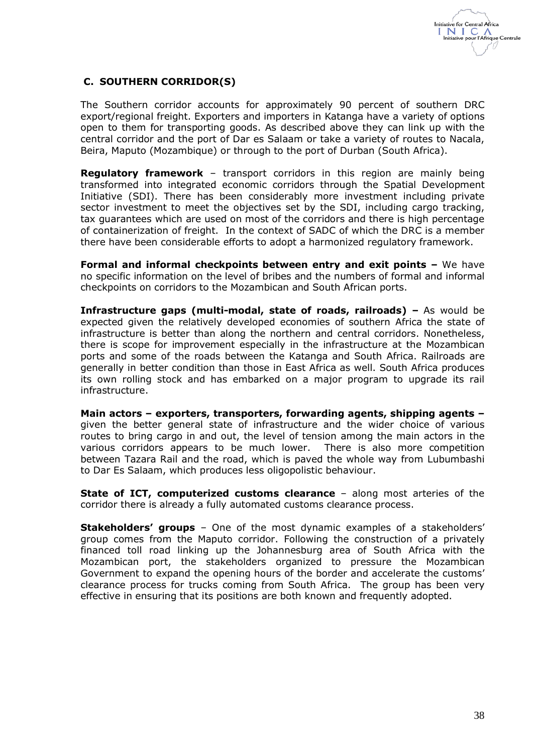Initiative for Central Africa Alle Tolleting Africa<br>Initiative pour l'Afrique Centrale

## **C. SOUTHERN CORRIDOR(S)**

The Southern corridor accounts for approximately 90 percent of southern DRC export/regional freight. Exporters and importers in Katanga have a variety of options open to them for transporting goods. As described above they can link up with the central corridor and the port of Dar es Salaam or take a variety of routes to Nacala, Beira, Maputo (Mozambique) or through to the port of Durban (South Africa).

**Regulatory framework** – transport corridors in this region are mainly being transformed into integrated economic corridors through the Spatial Development Initiative (SDI). There has been considerably more investment including private sector investment to meet the objectives set by the SDI, including cargo tracking, tax guarantees which are used on most of the corridors and there is high percentage of containerization of freight. In the context of SADC of which the DRC is a member there have been considerable efforts to adopt a harmonized regulatory framework.

**Formal and informal checkpoints between entry and exit points – We have** no specific information on the level of bribes and the numbers of formal and informal checkpoints on corridors to the Mozambican and South African ports.

**Infrastructure gaps (multi-modal, state of roads, railroads) – As would be** expected given the relatively developed economies of southern Africa the state of infrastructure is better than along the northern and central corridors. Nonetheless, there is scope for improvement especially in the infrastructure at the Mozambican ports and some of the roads between the Katanga and South Africa. Railroads are generally in better condition than those in East Africa as well. South Africa produces its own rolling stock and has embarked on a major program to upgrade its rail infrastructure.

**Main actors**   $-$  exporters, transporters, forwarding agents, shipping agents  $$ given the better general state of infrastructure and the wider choice of various routes to bring cargo in and out, the level of tension among the main actors in the various corridors appears to be much lower. There is also more competition between Tazara Rail and the road, which is paved the whole way from Lubumbashi to Dar Es Salaam, which produces less oligopolistic behaviour.

**State of ICT, computerized customs clearance** - along most arteries of the corridor there is already a fully automated customs clearance process.

**Stakeholders' groups** - One of the most dynamic examples of a stakeholders' group comes from the Maputo corridor. Following the construction of a privately financed toll road linking up the Johannesburg area of South Africa with the Mozambican port, the stakeholders organized to pressure the Mozambican Government to expand the opening hours of the border and accelerate the customs' clearance process for trucks coming from South Africa. The group has been very effective in ensuring that its positions are both known and frequently adopted.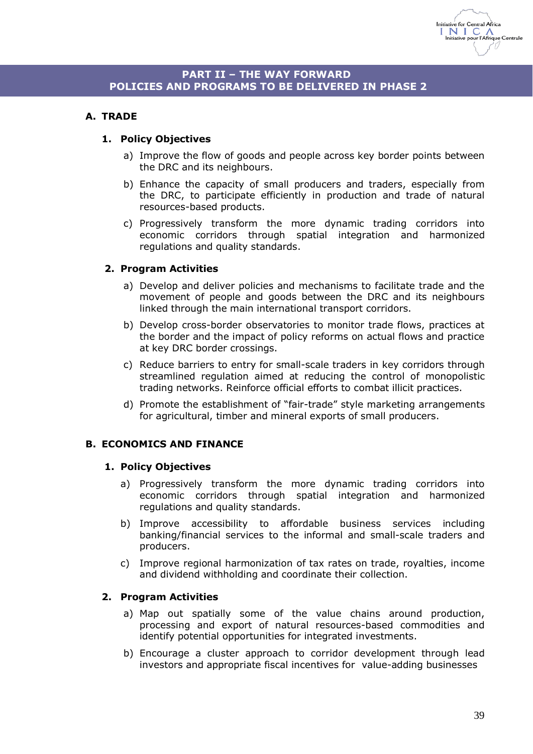

## **PART II – THE WAY FORWARD POLICIES AND PROGRAMS TO BE DELIVERED IN PHASE 2**

## **A. TRADE**

## **1. Policy Objectives**

- a) Improve the flow of goods and people across key border points between the DRC and its neighbours.
- b) Enhance the capacity of small producers and traders, especially from the DRC, to participate efficiently in production and trade of natural resources-based products.
- c) Progressively transform the more dynamic trading corridors into economic corridors through spatial integration and harmonized regulations and quality standards.

## **2. Program Activities**

- a) Develop and deliver policies and mechanisms to facilitate trade and the movement of people and goods between the DRC and its neighbours linked through the main international transport corridors.
- b) Develop cross-border observatories to monitor trade flows, practices at the border and the impact of policy reforms on actual flows and practice at key DRC border crossings.
- c) Reduce barriers to entry for small-scale traders in key corridors through streamlined regulation aimed at reducing the control of monopolistic trading networks. Reinforce official efforts to combat illicit practices.
- d) Promote the establishment of "fair-trade" style marketing arrangements for agricultural, timber and mineral exports of small producers.

## **B. ECONOMICS AND FINANCE**

## **1. Policy Objectives**

- a) Progressively transform the more dynamic trading corridors into economic corridors through spatial integration and harmonized regulations and quality standards.
- b) Improve accessibility to affordable business services including banking/financial services to the informal and small-scale traders and producers.
- c) Improve regional harmonization of tax rates on trade, royalties, income and dividend withholding and coordinate their collection.

## **2. Program Activities**

- a) Map out spatially some of the value chains around production, processing and export of natural resources-based commodities and identify potential opportunities for integrated investments.
- b) Encourage a cluster approach to corridor development through lead investors and appropriate fiscal incentives for value-adding businesses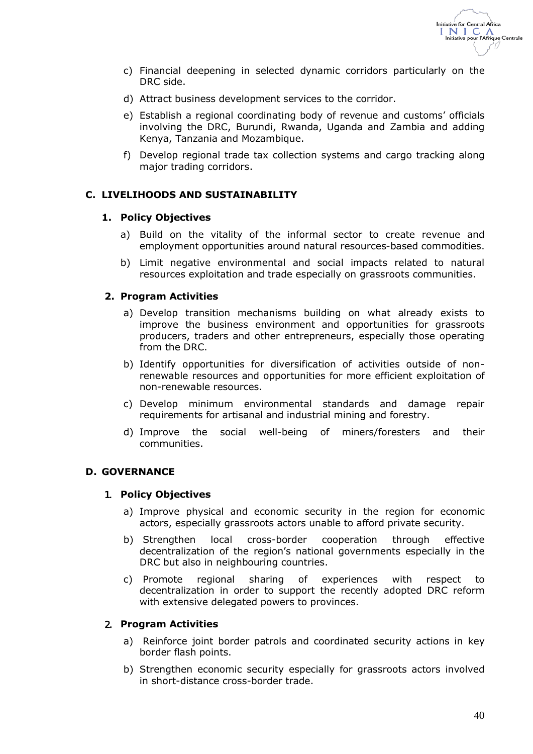Initiative for Central Africa  $N$   $\Gamma$   $\Lambda$ <br>Initiative pour l'Afrique Centrale

- c) Financial deepening in selected dynamic corridors particularly on the DRC side.
- d) Attract business development services to the corridor.
- e) Establish a regional coordinating body of revenue and customs' officials involving the DRC, Burundi, Rwanda, Uganda and Zambia and adding Kenya, Tanzania and Mozambique.
- f) Develop regional trade tax collection systems and cargo tracking along major trading corridors.

## **C. LIVELIHOODS AND SUSTAINABILITY**

#### **1. Policy Objectives**

- a) Build on the vitality of the informal sector to create revenue and employment opportunities around natural resources-based commodities.
- b) Limit negative environmental and social impacts related to natural resources exploitation and trade especially on grassroots communities.

## **2. Program Activities**

- a) Develop transition mechanisms building on what already exists to improve the business environment and opportunities for grassroots producers, traders and other entrepreneurs, especially those operating from the DRC.
- b) Identify opportunities for diversification of activities outside of nonrenewable resources and opportunities for more efficient exploitation of non-renewable resources.
- c) Develop minimum environmental standards and damage repair requirements for artisanal and industrial mining and forestry.
- d) Improve the social well-being of miners/foresters and their communities.

#### **D. GOVERNANCE**

#### 1. **Policy Objectives**

- a) Improve physical and economic security in the region for economic actors, especially grassroots actors unable to afford private security.
- b) Strengthen local cross-border cooperation through effective decentralization of the region's national governments especially in the DRC but also in neighbouring countries.
- c) Promote regional sharing of experiences with respect to decentralization in order to support the recently adopted DRC reform with extensive delegated powers to provinces.

## 2. **Program Activities**

- a) Reinforce joint border patrols and coordinated security actions in key border flash points.
- b) Strengthen economic security especially for grassroots actors involved in short-distance cross-border trade.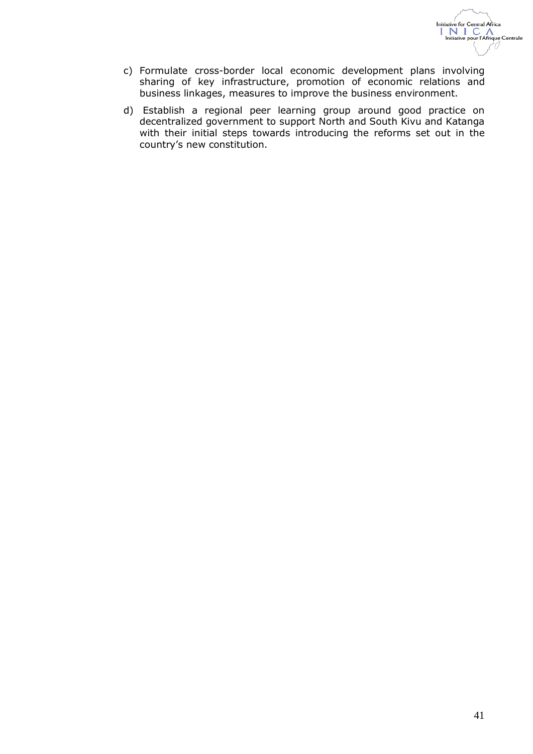Initiative for Central Africa  $N \nightharpoonup C$ <br> $N \nightharpoonup C$ <br>Initiative pour l'Afrique Centrale ı

- c) Formulate cross-border local economic development plans involving sharing of key infrastructure, promotion of economic relations and business linkages, measures to improve the business environment.
- d) Establish a regional peer learning group around good practice on decentralized government to support North and South Kivu and Katanga with their initial steps towards introducing the reforms set out in the country's new constitution.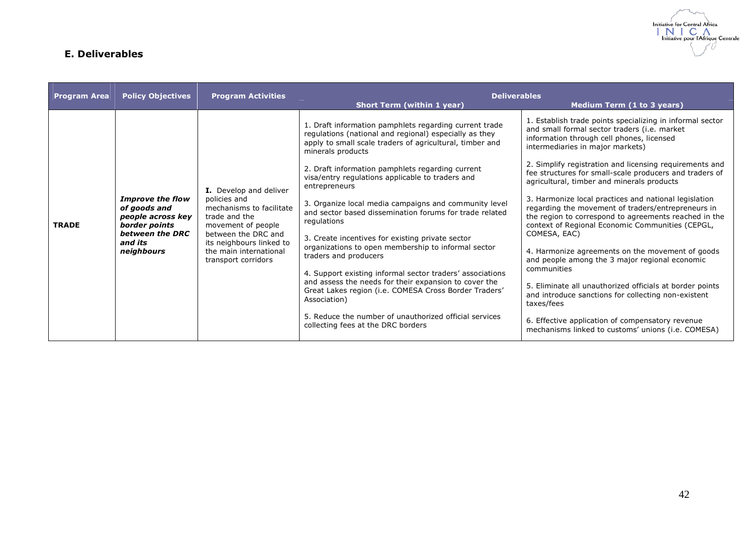

# **E. Deliverables**

| <b>Program Area</b> | <b>Policy Objectives</b>                                                      | <b>Program Activities</b>                                                                                                                                                                                     | <b>Deliverables</b>                                                                                                                                                                               |                                                                                                                                                                                                                          |  |  |
|---------------------|-------------------------------------------------------------------------------|---------------------------------------------------------------------------------------------------------------------------------------------------------------------------------------------------------------|---------------------------------------------------------------------------------------------------------------------------------------------------------------------------------------------------|--------------------------------------------------------------------------------------------------------------------------------------------------------------------------------------------------------------------------|--|--|
|                     |                                                                               |                                                                                                                                                                                                               | <b>Short Term (within 1 year)</b>                                                                                                                                                                 | Medium Term (1 to 3 years)                                                                                                                                                                                               |  |  |
|                     |                                                                               |                                                                                                                                                                                                               | 1. Draft information pamphlets regarding current trade<br>regulations (national and regional) especially as they<br>apply to small scale traders of agricultural, timber and<br>minerals products | 1. Establish trade points specializing in informal sector<br>and small formal sector traders (i.e. market<br>information through cell phones, licensed<br>intermediaries in major markets)                               |  |  |
|                     |                                                                               | I. Develop and deliver<br>policies and<br>mechanisms to facilitate<br>trade and the<br>movement of people<br>between the DRC and<br>its neighbours linked to<br>the main international<br>transport corridors | 2. Draft information pamphlets regarding current<br>visa/entry regulations applicable to traders and<br>entrepreneurs                                                                             | 2. Simplify registration and licensing requirements and<br>fee structures for small-scale producers and traders of<br>agricultural, timber and minerals products                                                         |  |  |
| <b>TRADE</b>        | <b>Improve the flow</b><br>of goods and<br>people across key<br>border points |                                                                                                                                                                                                               | 3. Organize local media campaigns and community level<br>and sector based dissemination forums for trade related<br>regulations                                                                   | 3. Harmonize local practices and national legislation<br>regarding the movement of traders/entrepreneurs in<br>the region to correspond to agreements reached in the<br>context of Regional Economic Communities (CEPGL, |  |  |
|                     | between the DRC<br>and its<br>neighbours                                      |                                                                                                                                                                                                               | 3. Create incentives for existing private sector<br>organizations to open membership to informal sector<br>traders and producers                                                                  | COMESA, EAC)<br>4. Harmonize agreements on the movement of goods<br>and people among the 3 major regional economic<br>communities                                                                                        |  |  |
|                     |                                                                               |                                                                                                                                                                                                               | 4. Support existing informal sector traders' associations<br>and assess the needs for their expansion to cover the<br>Great Lakes region (i.e. COMESA Cross Border Traders'<br>Association)       | 5. Eliminate all unauthorized officials at border points<br>and introduce sanctions for collecting non-existent<br>taxes/fees                                                                                            |  |  |
|                     |                                                                               |                                                                                                                                                                                                               | 5. Reduce the number of unauthorized official services<br>collecting fees at the DRC borders                                                                                                      | 6. Effective application of compensatory revenue<br>mechanisms linked to customs' unions (i.e. COMESA)                                                                                                                   |  |  |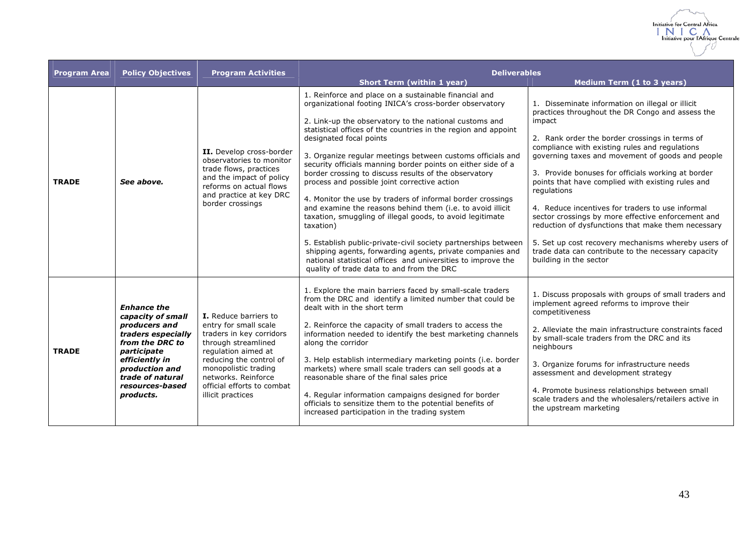

| <b>Program Area</b> | <b>Policy Objectives</b>                                                                                                                                                                                 | <b>Program Activities</b>                                                                                                                                                                                                                                    |                                                                                                                                                                                                                                                                                                                                                                                                                                                                                                                                                                                                                                                                                                                                                                                                                                                                                                                                                                                                       | <b>Deliverables</b>                                                                                                                                                                                                                                                                                                                                                                                                                                                                                                                                                                                                                                                                                                                    |  |  |  |
|---------------------|----------------------------------------------------------------------------------------------------------------------------------------------------------------------------------------------------------|--------------------------------------------------------------------------------------------------------------------------------------------------------------------------------------------------------------------------------------------------------------|-------------------------------------------------------------------------------------------------------------------------------------------------------------------------------------------------------------------------------------------------------------------------------------------------------------------------------------------------------------------------------------------------------------------------------------------------------------------------------------------------------------------------------------------------------------------------------------------------------------------------------------------------------------------------------------------------------------------------------------------------------------------------------------------------------------------------------------------------------------------------------------------------------------------------------------------------------------------------------------------------------|----------------------------------------------------------------------------------------------------------------------------------------------------------------------------------------------------------------------------------------------------------------------------------------------------------------------------------------------------------------------------------------------------------------------------------------------------------------------------------------------------------------------------------------------------------------------------------------------------------------------------------------------------------------------------------------------------------------------------------------|--|--|--|
| <b>TRADE</b>        | See above.                                                                                                                                                                                               | II. Develop cross-border<br>observatories to monitor<br>trade flows, practices<br>and the impact of policy<br>reforms on actual flows<br>and practice at key DRC<br>border crossings                                                                         | <b>Short Term (within 1 year)</b><br>1. Reinforce and place on a sustainable financial and<br>organizational footing INICA's cross-border observatory<br>2. Link-up the observatory to the national customs and<br>statistical offices of the countries in the region and appoint<br>designated focal points<br>3. Organize regular meetings between customs officials and<br>security officials manning border points on either side of a<br>border crossing to discuss results of the observatory<br>process and possible joint corrective action<br>4. Monitor the use by traders of informal border crossings<br>and examine the reasons behind them (i.e. to avoid illicit<br>taxation, smuggling of illegal goods, to avoid legitimate<br>taxation)<br>5. Establish public-private-civil society partnerships between<br>shipping agents, forwarding agents, private companies and<br>national statistical offices and universities to improve the<br>quality of trade data to and from the DRC | Medium Term (1 to 3 years)<br>1. Disseminate information on illegal or illicit<br>practices throughout the DR Congo and assess the<br>impact<br>2. Rank order the border crossings in terms of<br>compliance with existing rules and regulations<br>governing taxes and movement of goods and people<br>3. Provide bonuses for officials working at border<br>points that have complied with existing rules and<br>regulations<br>4. Reduce incentives for traders to use informal<br>sector crossings by more effective enforcement and<br>reduction of dysfunctions that make them necessary<br>5. Set up cost recovery mechanisms whereby users of<br>trade data can contribute to the necessary capacity<br>building in the sector |  |  |  |
| <b>TRADE</b>        | <b>Enhance the</b><br>capacity of small<br>producers and<br>traders especially<br>from the DRC to<br>participate<br>efficiently in<br>production and<br>trade of natural<br>resources-based<br>products. | <b>I.</b> Reduce barriers to<br>entry for small scale<br>traders in key corridors<br>through streamlined<br>regulation aimed at<br>reducing the control of<br>monopolistic trading<br>networks. Reinforce<br>official efforts to combat<br>illicit practices | 1. Explore the main barriers faced by small-scale traders<br>from the DRC and identify a limited number that could be<br>dealt with in the short term<br>2. Reinforce the capacity of small traders to access the<br>information needed to identify the best marketing channels<br>along the corridor<br>3. Help establish intermediary marketing points (i.e. border<br>markets) where small scale traders can sell goods at a<br>reasonable share of the final sales price<br>4. Regular information campaigns designed for border<br>officials to sensitize them to the potential benefits of<br>increased participation in the trading system                                                                                                                                                                                                                                                                                                                                                     | 1. Discuss proposals with groups of small traders and<br>implement agreed reforms to improve their<br>competitiveness<br>2. Alleviate the main infrastructure constraints faced<br>by small-scale traders from the DRC and its<br>neighbours<br>3. Organize forums for infrastructure needs<br>assessment and development strategy<br>4. Promote business relationships between small<br>scale traders and the wholesalers/retailers active in<br>the upstream marketing                                                                                                                                                                                                                                                               |  |  |  |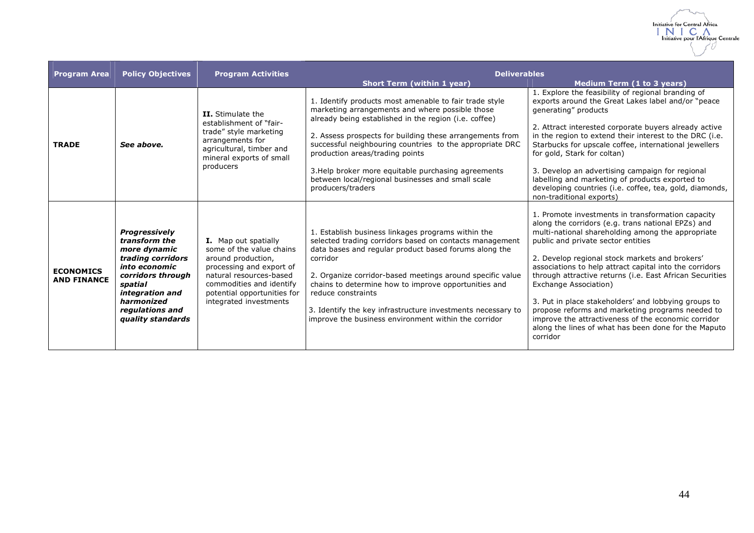

| <b>Program Area</b>                    | <b>Policy Objectives</b>                                                                                                                                                                             | <b>Program Activities</b>                                                                                                                                                                                                 | <b>Deliverables</b>                                                                                                                                                                                                                                                                                                                                                                                                                                            |                                                                                                                                                                                                                                                                                                                                                                                                                                                                                                                                                                                                                                             |
|----------------------------------------|------------------------------------------------------------------------------------------------------------------------------------------------------------------------------------------------------|---------------------------------------------------------------------------------------------------------------------------------------------------------------------------------------------------------------------------|----------------------------------------------------------------------------------------------------------------------------------------------------------------------------------------------------------------------------------------------------------------------------------------------------------------------------------------------------------------------------------------------------------------------------------------------------------------|---------------------------------------------------------------------------------------------------------------------------------------------------------------------------------------------------------------------------------------------------------------------------------------------------------------------------------------------------------------------------------------------------------------------------------------------------------------------------------------------------------------------------------------------------------------------------------------------------------------------------------------------|
|                                        |                                                                                                                                                                                                      |                                                                                                                                                                                                                           | <b>Short Term (within 1 year)</b>                                                                                                                                                                                                                                                                                                                                                                                                                              | Medium Term (1 to 3 years)                                                                                                                                                                                                                                                                                                                                                                                                                                                                                                                                                                                                                  |
| <b>TRADE</b>                           | See above.                                                                                                                                                                                           | II. Stimulate the<br>establishment of "fair-<br>trade" style marketing<br>arrangements for<br>agricultural, timber and<br>mineral exports of small<br>producers                                                           | 1. Identify products most amenable to fair trade style<br>marketing arrangements and where possible those<br>already being established in the region (i.e. coffee)<br>2. Assess prospects for building these arrangements from<br>successful neighbouring countries to the appropriate DRC<br>production areas/trading points<br>3. Help broker more equitable purchasing agreements<br>between local/regional businesses and small scale<br>producers/traders | 1. Explore the feasibility of regional branding of<br>exports around the Great Lakes label and/or "peace<br>generating" products<br>2. Attract interested corporate buyers already active<br>in the region to extend their interest to the DRC (i.e.<br>Starbucks for upscale coffee, international jewellers<br>for gold, Stark for coltan)<br>3. Develop an advertising campaign for regional<br>labelling and marketing of products exported to<br>developing countries (i.e. coffee, tea, gold, diamonds,<br>non-traditional exports)                                                                                                   |
| <b>ECONOMICS</b><br><b>AND FINANCE</b> | <b>Progressively</b><br>transform the<br>more dynamic<br>trading corridors<br>into economic<br>corridors through<br>spatial<br>integration and<br>harmonized<br>regulations and<br>quality standards | <b>I.</b> Map out spatially<br>some of the value chains<br>around production,<br>processing and export of<br>natural resources-based<br>commodities and identify<br>potential opportunities for<br>integrated investments | 1. Establish business linkages programs within the<br>selected trading corridors based on contacts management<br>data bases and regular product based forums along the<br>corridor<br>2. Organize corridor-based meetings around specific value<br>chains to determine how to improve opportunities and<br>reduce constraints<br>3. Identify the key infrastructure investments necessary to<br>improve the business environment within the corridor           | 1. Promote investments in transformation capacity<br>along the corridors (e.g. trans national EPZs) and<br>multi-national shareholding among the appropriate<br>public and private sector entities<br>2. Develop regional stock markets and brokers'<br>associations to help attract capital into the corridors<br>through attractive returns (i.e. East African Securities<br>Exchange Association)<br>3. Put in place stakeholders' and lobbying groups to<br>propose reforms and marketing programs needed to<br>improve the attractiveness of the economic corridor<br>along the lines of what has been done for the Maputo<br>corridor |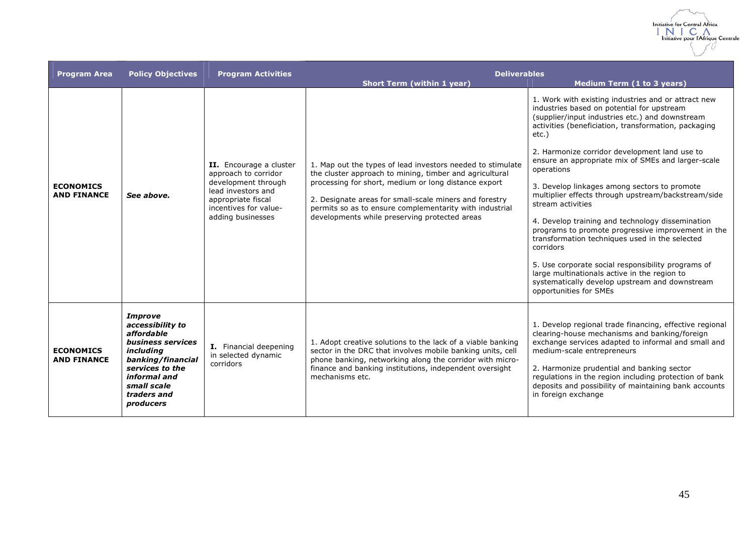

| <b>Program Area</b>                    | <b>Policy Objectives</b>                                                                                                                                                              | <b>Program Activities</b>                                                                                                                                        | <b>Deliverables</b><br>Medium Term (1 to 3 years)<br><b>Short Term (within 1 year)</b>                                                                                                                                                                                                                                                              |                                                                                                                                                                                                                                                                                                                                                                                                                                                                                                                                                                                                                                                                                                                                                                                                                                      |  |
|----------------------------------------|---------------------------------------------------------------------------------------------------------------------------------------------------------------------------------------|------------------------------------------------------------------------------------------------------------------------------------------------------------------|-----------------------------------------------------------------------------------------------------------------------------------------------------------------------------------------------------------------------------------------------------------------------------------------------------------------------------------------------------|--------------------------------------------------------------------------------------------------------------------------------------------------------------------------------------------------------------------------------------------------------------------------------------------------------------------------------------------------------------------------------------------------------------------------------------------------------------------------------------------------------------------------------------------------------------------------------------------------------------------------------------------------------------------------------------------------------------------------------------------------------------------------------------------------------------------------------------|--|
| <b>ECONOMICS</b><br><b>AND FINANCE</b> | See above.                                                                                                                                                                            | II. Encourage a cluster<br>approach to corridor<br>development through<br>lead investors and<br>appropriate fiscal<br>incentives for value-<br>adding businesses | 1. Map out the types of lead investors needed to stimulate<br>the cluster approach to mining, timber and agricultural<br>processing for short, medium or long distance export<br>2. Designate areas for small-scale miners and forestry<br>permits so as to ensure complementarity with industrial<br>developments while preserving protected areas | 1. Work with existing industries and or attract new<br>industries based on potential for upstream<br>(supplier/input industries etc.) and downstream<br>activities (beneficiation, transformation, packaging<br>$etc.$ )<br>2. Harmonize corridor development land use to<br>ensure an appropriate mix of SMEs and larger-scale<br>operations<br>3. Develop linkages among sectors to promote<br>multiplier effects through upstream/backstream/side<br>stream activities<br>4. Develop training and technology dissemination<br>programs to promote progressive improvement in the<br>transformation techniques used in the selected<br>corridors<br>5. Use corporate social responsibility programs of<br>large multinationals active in the region to<br>systematically develop upstream and downstream<br>opportunities for SMEs |  |
| <b>ECONOMICS</b><br><b>AND FINANCE</b> | <b>Improve</b><br>accessibility to<br>affordable<br>business services<br>including<br>banking/financial<br>services to the<br>informal and<br>small scale<br>traders and<br>producers | I. Financial deepening<br>in selected dynamic<br>corridors                                                                                                       | 1. Adopt creative solutions to the lack of a viable banking<br>sector in the DRC that involves mobile banking units, cell<br>phone banking, networking along the corridor with micro-<br>finance and banking institutions, independent oversight<br>mechanisms etc.                                                                                 | 1. Develop regional trade financing, effective regional<br>clearing-house mechanisms and banking/foreign<br>exchange services adapted to informal and small and<br>medium-scale entrepreneurs<br>2. Harmonize prudential and banking sector<br>regulations in the region including protection of bank<br>deposits and possibility of maintaining bank accounts<br>in foreign exchange                                                                                                                                                                                                                                                                                                                                                                                                                                                |  |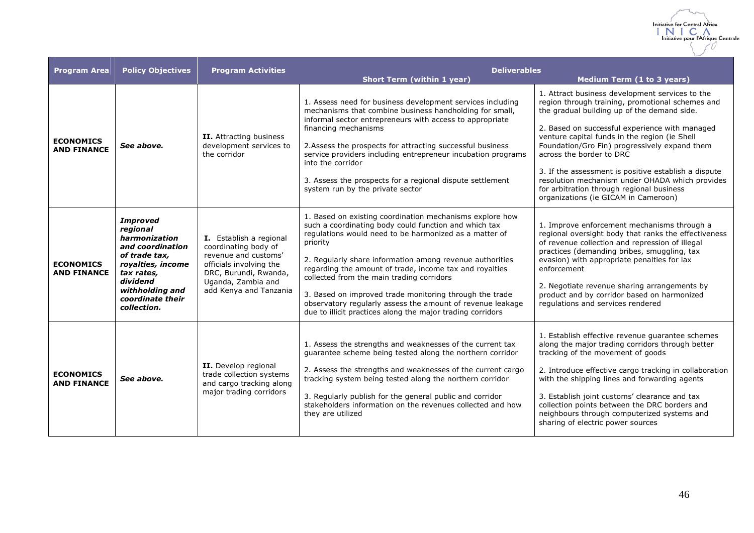

| <b>Program Area</b>                    | <b>Policy Objectives</b>                                                                                                                                                               | <b>Program Activities</b>                                                                                                                                                   | <b>Deliverables</b><br><b>Short Term (within 1 year)</b><br>Medium Term (1 to 3 years)                                                                                                                                                                                                                                                                                                                                                                                                                                                             |                                                                                                                                                                                                                                                                                                                                                                                                                                                                                                                                    |
|----------------------------------------|----------------------------------------------------------------------------------------------------------------------------------------------------------------------------------------|-----------------------------------------------------------------------------------------------------------------------------------------------------------------------------|----------------------------------------------------------------------------------------------------------------------------------------------------------------------------------------------------------------------------------------------------------------------------------------------------------------------------------------------------------------------------------------------------------------------------------------------------------------------------------------------------------------------------------------------------|------------------------------------------------------------------------------------------------------------------------------------------------------------------------------------------------------------------------------------------------------------------------------------------------------------------------------------------------------------------------------------------------------------------------------------------------------------------------------------------------------------------------------------|
| <b>ECONOMICS</b><br><b>AND FINANCE</b> | See above.                                                                                                                                                                             | II. Attracting business<br>development services to<br>the corridor                                                                                                          | 1. Assess need for business development services including<br>mechanisms that combine business handholding for small,<br>informal sector entrepreneurs with access to appropriate<br>financing mechanisms<br>2. Assess the prospects for attracting successful business<br>service providers including entrepreneur incubation programs<br>into the corridor<br>3. Assess the prospects for a regional dispute settlement<br>system run by the private sector                                                                                      | 1. Attract business development services to the<br>region through training, promotional schemes and<br>the gradual building up of the demand side.<br>2. Based on successful experience with managed<br>venture capital funds in the region (ie Shell<br>Foundation/Gro Fin) progressively expand them<br>across the border to DRC<br>3. If the assessment is positive establish a dispute<br>resolution mechanism under OHADA which provides<br>for arbitration through regional business<br>organizations (ie GICAM in Cameroon) |
| <b>ECONOMICS</b><br><b>AND FINANCE</b> | <b>Improved</b><br>regional<br>harmonization<br>and coordination<br>of trade tax,<br>royalties, income<br>tax rates.<br>dividend<br>withholding and<br>coordinate their<br>collection. | I. Establish a regional<br>coordinating body of<br>revenue and customs'<br>officials involving the<br>DRC, Burundi, Rwanda,<br>Uganda, Zambia and<br>add Kenya and Tanzania | 1. Based on existing coordination mechanisms explore how<br>such a coordinating body could function and which tax<br>regulations would need to be harmonized as a matter of<br>priority<br>2. Regularly share information among revenue authorities<br>regarding the amount of trade, income tax and royalties<br>collected from the main trading corridors<br>3. Based on improved trade monitoring through the trade<br>observatory regularly assess the amount of revenue leakage<br>due to illicit practices along the major trading corridors | 1. Improve enforcement mechanisms through a<br>regional oversight body that ranks the effectiveness<br>of revenue collection and repression of illegal<br>practices (demanding bribes, smuggling, tax<br>evasion) with appropriate penalties for lax<br>enforcement<br>2. Negotiate revenue sharing arrangements by<br>product and by corridor based on harmonized<br>regulations and services rendered                                                                                                                            |
| <b>ECONOMICS</b><br><b>AND FINANCE</b> | See above.                                                                                                                                                                             | II. Develop regional<br>trade collection systems<br>and cargo tracking along<br>major trading corridors                                                                     | 1. Assess the strengths and weaknesses of the current tax<br>guarantee scheme being tested along the northern corridor<br>2. Assess the strengths and weaknesses of the current cargo<br>tracking system being tested along the northern corridor<br>3. Regularly publish for the general public and corridor<br>stakeholders information on the revenues collected and how<br>they are utilized                                                                                                                                                   | 1. Establish effective revenue guarantee schemes<br>along the major trading corridors through better<br>tracking of the movement of goods<br>2. Introduce effective cargo tracking in collaboration<br>with the shipping lines and forwarding agents<br>3. Establish joint customs' clearance and tax<br>collection points between the DRC borders and<br>neighbours through computerized systems and<br>sharing of electric power sources                                                                                         |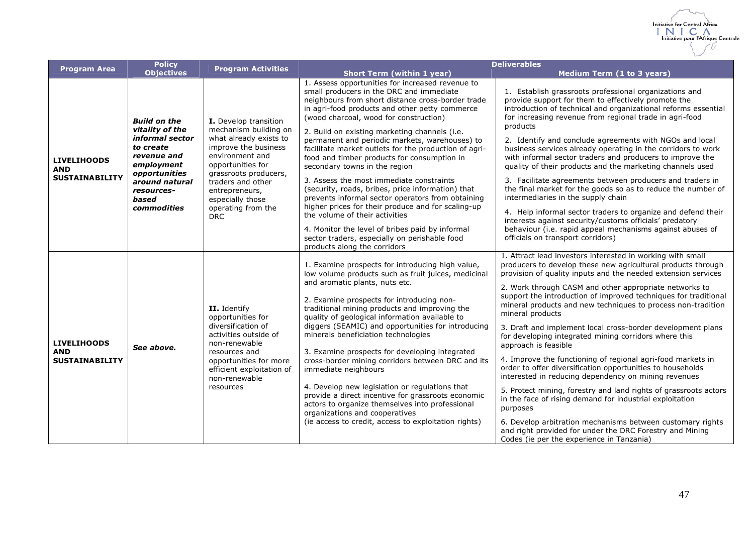

| <b>Program Area</b>                                       | <b>Policy</b>                                                                                                                                                                       | <b>Program Activities</b>                                                                                                                                                                                                                                        | <b>Deliverables</b>                                                                                                                                                                                                                                                                                                                                                                                                                                                                                                                                                                                                                                                                                                                                                                                                                                                         |                                                                                                                                                                                                                                                                                                                                                                                                                                                                                                                                                                                                                                                                                                                                                                                                                                                                                                                                                                                                                                                                      |  |
|-----------------------------------------------------------|-------------------------------------------------------------------------------------------------------------------------------------------------------------------------------------|------------------------------------------------------------------------------------------------------------------------------------------------------------------------------------------------------------------------------------------------------------------|-----------------------------------------------------------------------------------------------------------------------------------------------------------------------------------------------------------------------------------------------------------------------------------------------------------------------------------------------------------------------------------------------------------------------------------------------------------------------------------------------------------------------------------------------------------------------------------------------------------------------------------------------------------------------------------------------------------------------------------------------------------------------------------------------------------------------------------------------------------------------------|----------------------------------------------------------------------------------------------------------------------------------------------------------------------------------------------------------------------------------------------------------------------------------------------------------------------------------------------------------------------------------------------------------------------------------------------------------------------------------------------------------------------------------------------------------------------------------------------------------------------------------------------------------------------------------------------------------------------------------------------------------------------------------------------------------------------------------------------------------------------------------------------------------------------------------------------------------------------------------------------------------------------------------------------------------------------|--|
|                                                           | <b>Objectives</b>                                                                                                                                                                   |                                                                                                                                                                                                                                                                  | <b>Short Term (within 1 year)</b>                                                                                                                                                                                                                                                                                                                                                                                                                                                                                                                                                                                                                                                                                                                                                                                                                                           | Medium Term (1 to 3 years)                                                                                                                                                                                                                                                                                                                                                                                                                                                                                                                                                                                                                                                                                                                                                                                                                                                                                                                                                                                                                                           |  |
| <b>LIVELIHOODS</b><br><b>AND</b><br><b>SUSTAINABILITY</b> | <b>Build on the</b><br>vitality of the<br>informal sector<br>to create<br>revenue and<br>employment<br>opportunities<br>around natural<br>resources-<br>based<br><b>commodities</b> | I. Develop transition<br>mechanism building on<br>what already exists to<br>improve the business<br>environment and<br>opportunities for<br>grassroots producers,<br>traders and other<br>entrepreneurs,<br>especially those<br>operating from the<br><b>DRC</b> | 1. Assess opportunities for increased revenue to<br>small producers in the DRC and immediate<br>neighbours from short distance cross-border trade<br>in agri-food products and other petty commerce<br>(wood charcoal, wood for construction)<br>2. Build on existing marketing channels (i.e.<br>permanent and periodic markets, warehouses) to<br>facilitate market outlets for the production of agri-<br>food and timber products for consumption in<br>secondary towns in the region<br>3. Assess the most immediate constraints<br>(security, roads, bribes, price information) that<br>prevents informal sector operators from obtaining<br>higher prices for their produce and for scaling-up<br>the volume of their activities<br>4. Monitor the level of bribes paid by informal<br>sector traders, especially on perishable food<br>products along the corridors | 1. Establish grassroots professional organizations and<br>provide support for them to effectively promote the<br>introduction of technical and organizational reforms essential<br>for increasing revenue from regional trade in agri-food<br>products<br>2. Identify and conclude agreements with NGOs and local<br>business services already operating in the corridors to work<br>with informal sector traders and producers to improve the<br>quality of their products and the marketing channels used<br>3. Facilitate agreements between producers and traders in<br>the final market for the goods so as to reduce the number of<br>intermediaries in the supply chain<br>4. Help informal sector traders to organize and defend their<br>interests against security/customs officials' predatory<br>behaviour (i.e. rapid appeal mechanisms against abuses of<br>officials on transport corridors)                                                                                                                                                          |  |
| <b>LIVELIHOODS</b><br><b>AND</b><br><b>SUSTAINABILITY</b> | See above,                                                                                                                                                                          | II. Identify<br>opportunities for<br>diversification of<br>activities outside of<br>non-renewable<br>resources and<br>opportunities for more<br>efficient exploitation of<br>non-renewable<br>resources                                                          | 1. Examine prospects for introducing high value,<br>low volume products such as fruit juices, medicinal<br>and aromatic plants, nuts etc.<br>2. Examine prospects for introducing non-<br>traditional mining products and improving the<br>quality of geological information available to<br>diggers (SEAMIC) and opportunities for introducing<br>minerals beneficiation technologies<br>3. Examine prospects for developing integrated<br>cross-border mining corridors between DRC and its<br>immediate neighbours<br>4. Develop new legislation or regulations that<br>provide a direct incentive for grassroots economic<br>actors to organize themselves into professional<br>organizations and cooperatives<br>(ie access to credit, access to exploitation rights)                                                                                                  | 1. Attract lead investors interested in working with small<br>producers to develop these new agricultural products through<br>provision of quality inputs and the needed extension services<br>2. Work through CASM and other appropriate networks to<br>support the introduction of improved techniques for traditional<br>mineral products and new techniques to process non-tradition<br>mineral products<br>3. Draft and implement local cross-border development plans<br>for developing integrated mining corridors where this<br>approach is feasible<br>4. Improve the functioning of regional agri-food markets in<br>order to offer diversification opportunities to households<br>interested in reducing dependency on mining revenues<br>5. Protect mining, forestry and land rights of grassroots actors<br>in the face of rising demand for industrial exploitation<br>purposes<br>6. Develop arbitration mechanisms between customary rights<br>and right provided for under the DRC Forestry and Mining<br>Codes (ie per the experience in Tanzania) |  |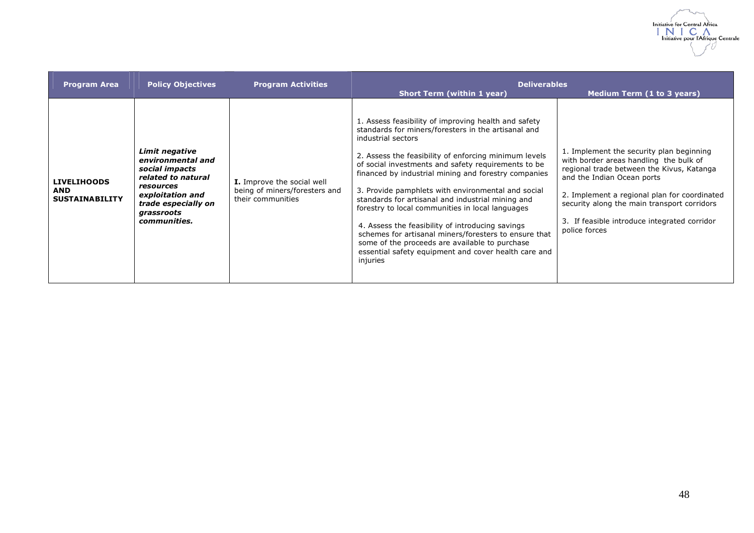

| <b>Program Area</b>                                       | <b>Policy Objectives</b>                                                                                                                                          | <b>Program Activities</b>                                                               | <b>Deliverables</b><br><b>Short Term (within 1 year)</b><br>Medium Term (1 to 3 years)                                                                                                                                                                                                                                                                                                                                                                                                                                                                                                                                                                                                                      |                                                                                                                                                                                                                                                                                                                               |
|-----------------------------------------------------------|-------------------------------------------------------------------------------------------------------------------------------------------------------------------|-----------------------------------------------------------------------------------------|-------------------------------------------------------------------------------------------------------------------------------------------------------------------------------------------------------------------------------------------------------------------------------------------------------------------------------------------------------------------------------------------------------------------------------------------------------------------------------------------------------------------------------------------------------------------------------------------------------------------------------------------------------------------------------------------------------------|-------------------------------------------------------------------------------------------------------------------------------------------------------------------------------------------------------------------------------------------------------------------------------------------------------------------------------|
| <b>LIVELIHOODS</b><br><b>AND</b><br><b>SUSTAINABILITY</b> | Limit negative<br>environmental and<br>social impacts<br>related to natural<br>resources<br>exploitation and<br>trade especially on<br>grassroots<br>communities. | <b>I.</b> Improve the social well<br>being of miners/foresters and<br>their communities | 1. Assess feasibility of improving health and safety<br>standards for miners/foresters in the artisanal and<br>industrial sectors<br>2. Assess the feasibility of enforcing minimum levels<br>of social investments and safety requirements to be<br>financed by industrial mining and forestry companies<br>3. Provide pamphlets with environmental and social<br>standards for artisanal and industrial mining and<br>forestry to local communities in local languages<br>4. Assess the feasibility of introducing savings<br>schemes for artisanal miners/foresters to ensure that<br>some of the proceeds are available to purchase<br>essential safety equipment and cover health care and<br>injuries | 1. Implement the security plan beginning<br>with border areas handling the bulk of<br>regional trade between the Kivus, Katanga<br>and the Indian Ocean ports<br>2. Implement a regional plan for coordinated<br>security along the main transport corridors<br>3. If feasible introduce integrated corridor<br>police forces |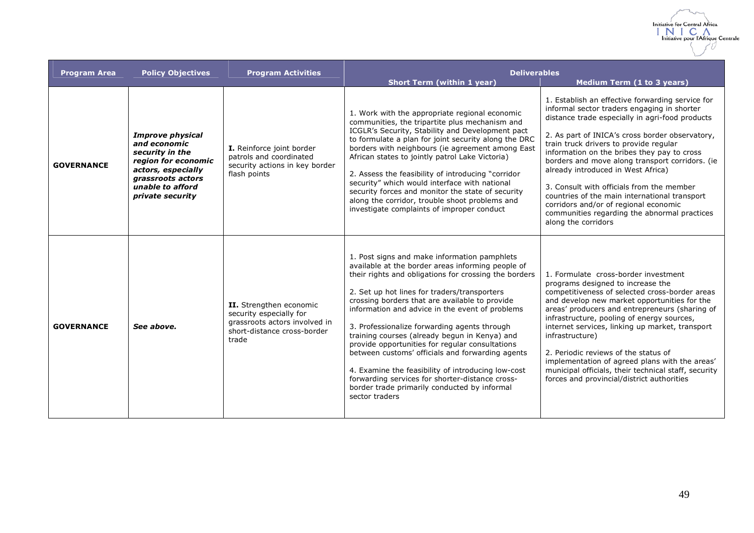

| <b>Program Area</b> | <b>Policy Objectives</b>                                                                                                                                             | <b>Program Activities</b>                                                                                                   | <b>Deliverables</b><br>Medium Term (1 to 3 years)<br><b>Short Term (within 1 year)</b>                                                                                                                                                                                                                                                                                                                                                                                                                                                                                                                                                                                                             |                                                                                                                                                                                                                                                                                                                                                                                                                                                                                                                                                                                                       |  |
|---------------------|----------------------------------------------------------------------------------------------------------------------------------------------------------------------|-----------------------------------------------------------------------------------------------------------------------------|----------------------------------------------------------------------------------------------------------------------------------------------------------------------------------------------------------------------------------------------------------------------------------------------------------------------------------------------------------------------------------------------------------------------------------------------------------------------------------------------------------------------------------------------------------------------------------------------------------------------------------------------------------------------------------------------------|-------------------------------------------------------------------------------------------------------------------------------------------------------------------------------------------------------------------------------------------------------------------------------------------------------------------------------------------------------------------------------------------------------------------------------------------------------------------------------------------------------------------------------------------------------------------------------------------------------|--|
| <b>GOVERNANCE</b>   | <b>Improve physical</b><br>and economic<br>security in the<br>region for economic<br>actors, especially<br>grassroots actors<br>unable to afford<br>private security | I. Reinforce joint border<br>patrols and coordinated<br>security actions in key border<br>flash points                      | 1. Work with the appropriate regional economic<br>communities, the tripartite plus mechanism and<br>ICGLR's Security, Stability and Development pact<br>to formulate a plan for joint security along the DRC<br>borders with neighbours (ie agreement among East<br>African states to jointly patrol Lake Victoria)<br>2. Assess the feasibility of introducing "corridor<br>security" which would interface with national<br>security forces and monitor the state of security<br>along the corridor, trouble shoot problems and<br>investigate complaints of improper conduct                                                                                                                    | 1. Establish an effective forwarding service for<br>informal sector traders engaging in shorter<br>distance trade especially in agri-food products<br>2. As part of INICA's cross border observatory,<br>train truck drivers to provide regular<br>information on the bribes they pay to cross<br>borders and move along transport corridors. (ie<br>already introduced in West Africa)<br>3. Consult with officials from the member<br>countries of the main international transport<br>corridors and/or of regional economic<br>communities regarding the abnormal practices<br>along the corridors |  |
| <b>GOVERNANCE</b>   | See above.                                                                                                                                                           | II. Strengthen economic<br>security especially for<br>grassroots actors involved in<br>short-distance cross-border<br>trade | 1. Post signs and make information pamphlets<br>available at the border areas informing people of<br>their rights and obligations for crossing the borders<br>2. Set up hot lines for traders/transporters<br>crossing borders that are available to provide<br>information and advice in the event of problems<br>3. Professionalize forwarding agents through<br>training courses (already begun in Kenya) and<br>provide opportunities for regular consultations<br>between customs' officials and forwarding agents<br>4. Examine the feasibility of introducing low-cost<br>forwarding services for shorter-distance cross-<br>border trade primarily conducted by informal<br>sector traders | 1. Formulate cross-border investment<br>programs designed to increase the<br>competitiveness of selected cross-border areas<br>and develop new market opportunities for the<br>areas' producers and entrepreneurs (sharing of<br>infrastructure, pooling of energy sources,<br>internet services, linking up market, transport<br>infrastructure)<br>2. Periodic reviews of the status of<br>implementation of agreed plans with the areas'<br>municipal officials, their technical staff, security<br>forces and provincial/district authorities                                                     |  |